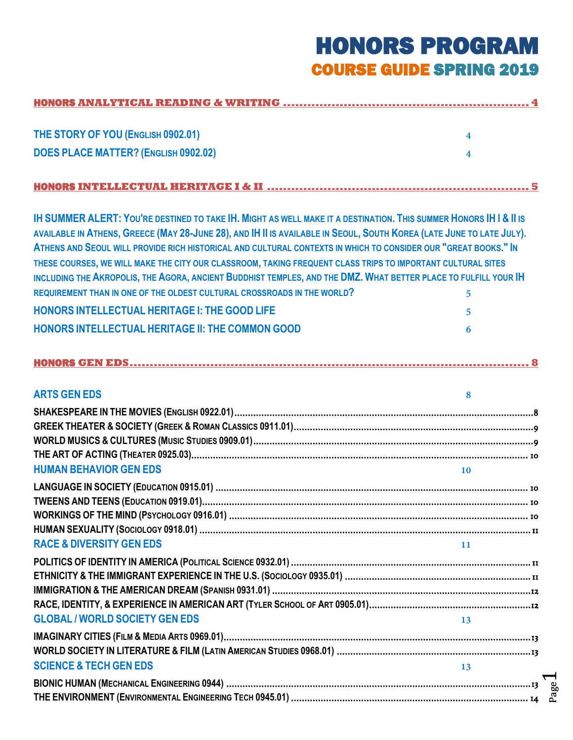# HONORS PROGRAM COURSE GUIDE SPRING 2019

Page

| THE STORY OF YOU (ENGLISH 0902.01)                                                                                                                                                                                                                                                                                                                                                                                                                                                                                                                                                                                                                                                  | $\overline{\mathbf{4}}$ |
|-------------------------------------------------------------------------------------------------------------------------------------------------------------------------------------------------------------------------------------------------------------------------------------------------------------------------------------------------------------------------------------------------------------------------------------------------------------------------------------------------------------------------------------------------------------------------------------------------------------------------------------------------------------------------------------|-------------------------|
| <b>DOES PLACE MATTER? (ENGLISH 0902.02)</b>                                                                                                                                                                                                                                                                                                                                                                                                                                                                                                                                                                                                                                         | 4                       |
|                                                                                                                                                                                                                                                                                                                                                                                                                                                                                                                                                                                                                                                                                     |                         |
|                                                                                                                                                                                                                                                                                                                                                                                                                                                                                                                                                                                                                                                                                     |                         |
| <b>IH SUMMER ALERT: YOU'RE DESTINED TO TAKE IH. MIGHT AS WELL MAKE IT A DESTINATION. THIS SUMMER HONORS IH I &amp; II IS</b><br>AVAILABLE IN ATHENS, GREECE (MAY 28-JUNE 28), AND IH II IS AVAILABLE IN SEOUL, SOUTH KOREA (LATE JUNE TO LATE JULY).<br>ATHENS AND SEQUL WILL PROVIDE RICH HISTORICAL AND CULTURAL CONTEXTS IN WHICH TO CONSIDER OUR "GREAT BOOKS." IN<br>THESE COURSES, WE WILL MAKE THE CITY OUR CLASSROOM, TAKING FREQUENT CLASS TRIPS TO IMPORTANT CULTURAL SITES<br>INCLUDING THE AKROPOLIS, THE AGORA, ANCIENT BUDDHIST TEMPLES, AND THE DMZ. WHAT BETTER PLACE TO FULFILL YOUR IH<br>REQUIREMENT THAN IN ONE OF THE OLDEST CULTURAL CROSSROADS IN THE WORLD? |                         |
| <b>HONORS INTELLECTUAL HERITAGE I: THE GOOD LIFE</b>                                                                                                                                                                                                                                                                                                                                                                                                                                                                                                                                                                                                                                | 5                       |
| <b>HONORS INTELLECTUAL HERITAGE II: THE COMMON GOOD</b>                                                                                                                                                                                                                                                                                                                                                                                                                                                                                                                                                                                                                             | 5.                      |
|                                                                                                                                                                                                                                                                                                                                                                                                                                                                                                                                                                                                                                                                                     | 6                       |
|                                                                                                                                                                                                                                                                                                                                                                                                                                                                                                                                                                                                                                                                                     |                         |
| <b>ARTS GEN EDS</b>                                                                                                                                                                                                                                                                                                                                                                                                                                                                                                                                                                                                                                                                 | 8                       |
|                                                                                                                                                                                                                                                                                                                                                                                                                                                                                                                                                                                                                                                                                     |                         |
| <b>HUMAN BEHAVIOR GEN EDS</b>                                                                                                                                                                                                                                                                                                                                                                                                                                                                                                                                                                                                                                                       | <b>10</b>               |
|                                                                                                                                                                                                                                                                                                                                                                                                                                                                                                                                                                                                                                                                                     |                         |
|                                                                                                                                                                                                                                                                                                                                                                                                                                                                                                                                                                                                                                                                                     |                         |
|                                                                                                                                                                                                                                                                                                                                                                                                                                                                                                                                                                                                                                                                                     |                         |
| <b>RACE &amp; DIVERSITY GEN EDS</b>                                                                                                                                                                                                                                                                                                                                                                                                                                                                                                                                                                                                                                                 | 11                      |
|                                                                                                                                                                                                                                                                                                                                                                                                                                                                                                                                                                                                                                                                                     |                         |
|                                                                                                                                                                                                                                                                                                                                                                                                                                                                                                                                                                                                                                                                                     |                         |
| <b>GLOBAL / WORLD SOCIETY GEN EDS</b>                                                                                                                                                                                                                                                                                                                                                                                                                                                                                                                                                                                                                                               | 13                      |
|                                                                                                                                                                                                                                                                                                                                                                                                                                                                                                                                                                                                                                                                                     |                         |
| <b>SCIENCE &amp; TECH GEN EDS</b>                                                                                                                                                                                                                                                                                                                                                                                                                                                                                                                                                                                                                                                   | 13                      |
|                                                                                                                                                                                                                                                                                                                                                                                                                                                                                                                                                                                                                                                                                     |                         |
|                                                                                                                                                                                                                                                                                                                                                                                                                                                                                                                                                                                                                                                                                     |                         |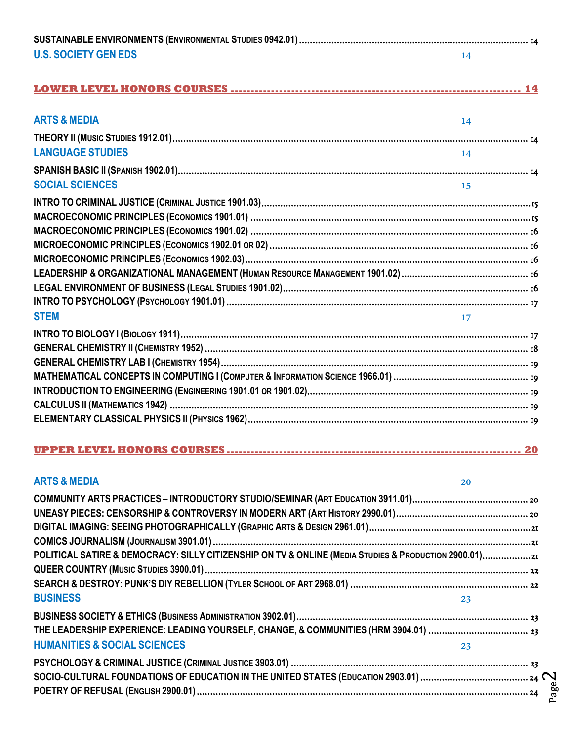| <b>U.S. SOCIETY GEN EDS</b>                                                                           | 14 |  |
|-------------------------------------------------------------------------------------------------------|----|--|
|                                                                                                       |    |  |
| <b>ARTS &amp; MEDIA</b>                                                                               | 14 |  |
|                                                                                                       |    |  |
| <b>LANGUAGE STUDIES</b>                                                                               | 14 |  |
|                                                                                                       |    |  |
| <b>SOCIAL SCIENCES</b>                                                                                | 15 |  |
|                                                                                                       |    |  |
|                                                                                                       |    |  |
|                                                                                                       |    |  |
|                                                                                                       |    |  |
|                                                                                                       |    |  |
|                                                                                                       |    |  |
|                                                                                                       |    |  |
|                                                                                                       |    |  |
| <b>STEM</b>                                                                                           | 17 |  |
|                                                                                                       |    |  |
|                                                                                                       |    |  |
|                                                                                                       |    |  |
|                                                                                                       |    |  |
|                                                                                                       |    |  |
|                                                                                                       |    |  |
|                                                                                                       |    |  |
|                                                                                                       |    |  |
| <b>ARTS &amp; MEDIA</b>                                                                               | 20 |  |
|                                                                                                       |    |  |
|                                                                                                       |    |  |
|                                                                                                       |    |  |
|                                                                                                       |    |  |
| POLITICAL SATIRE & DEMOCRACY: SILLY CITIZENSHIP ON TV & ONLINE (MEDIA STUDIES & PRODUCTION 2900.01)21 |    |  |
|                                                                                                       |    |  |
|                                                                                                       |    |  |
| <b>BUSINESS</b>                                                                                       | 23 |  |
|                                                                                                       |    |  |
|                                                                                                       |    |  |
| <b>HUMANITIES &amp; SOCIAL SCIENCES</b>                                                               | 23 |  |
|                                                                                                       |    |  |
|                                                                                                       |    |  |
|                                                                                                       |    |  |

Page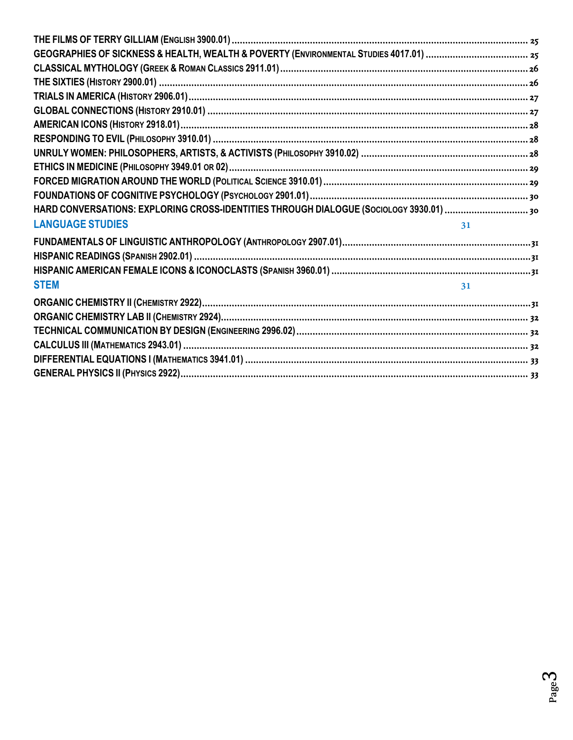| HARD CONVERSATIONS: EXPLORING CROSS-IDENTITIES THROUGH DIALOGUE (SOCIOLOGY 3930.01) |    |
|-------------------------------------------------------------------------------------|----|
| <b>LANGUAGE STUDIES</b>                                                             | 31 |
|                                                                                     |    |
|                                                                                     |    |
|                                                                                     |    |
|                                                                                     |    |
| <b>STEM</b>                                                                         | 31 |
|                                                                                     |    |
|                                                                                     |    |
|                                                                                     |    |
|                                                                                     |    |
|                                                                                     |    |
|                                                                                     |    |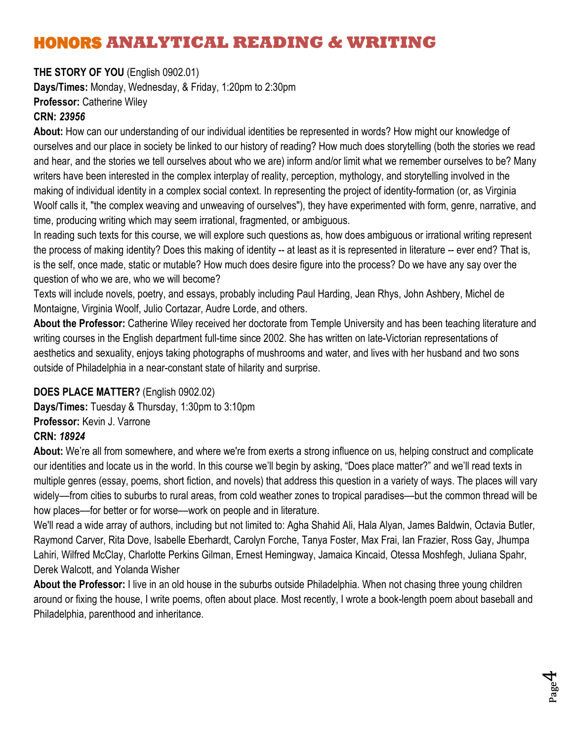# <span id="page-3-0"></span>HONORS **ANALYTICAL READING & WRITING**

<span id="page-3-1"></span>**THE STORY OF YOU** (English 0902.01) **Days/Times:** Monday, Wednesday, & Friday, 1:20pm to 2:30pm **Professor:** Catherine Wiley

## **CRN:** *23956*

**About:** How can our understanding of our individual identities be represented in words? How might our knowledge of ourselves and our place in society be linked to our history of reading? How much does storytelling (both the stories we read and hear, and the stories we tell ourselves about who we are) inform and/or limit what we remember ourselves to be? Many writers have been interested in the complex interplay of reality, perception, mythology, and storytelling involved in the making of individual identity in a complex social context. In representing the project of identity-formation (or, as Virginia Woolf calls it, "the complex weaving and unweaving of ourselves"), they have experimented with form, genre, narrative, and time, producing writing which may seem irrational, fragmented, or ambiguous.

In reading such texts for this course, we will explore such questions as, how does ambiguous or irrational writing represent the process of making identity? Does this making of identity -- at least as it is represented in literature -- ever end? That is, is the self, once made, static or mutable? How much does desire figure into the process? Do we have any say over the question of who we are, who we will become?

Texts will include novels, poetry, and essays, probably including Paul Harding, Jean Rhys, John Ashbery, Michel de Montaigne, Virginia Woolf, Julio Cortazar, Audre Lorde, and others.

**About the Professor:** Catherine Wiley received her doctorate from Temple University and has been teaching literature and writing courses in the English department full-time since 2002. She has written on late-Victorian representations of aesthetics and sexuality, enjoys taking photographs of mushrooms and water, and lives with her husband and two sons outside of Philadelphia in a near-constant state of hilarity and surprise.

#### <span id="page-3-2"></span>**DOES PLACE MATTER?** (English 0902.02)

**Days/Times:** Tuesday & Thursday, 1:30pm to 3:10pm **Professor:** Kevin J. Varrone **CRN:** *18924*

**About:** We're all from somewhere, and where we're from exerts a strong influence on us, helping construct and complicate our identities and locate us in the world. In this course we'll begin by asking, "Does place matter?" and we'll read texts in multiple genres (essay, poems, short fiction, and novels) that address this question in a variety of ways. The places will vary widely––from cities to suburbs to rural areas, from cold weather zones to tropical paradises––but the common thread will be how places––for better or for worse––work on people and in literature.

We'll read a wide array of authors, including but not limited to: Agha Shahid Ali, Hala Alyan, James Baldwin, Octavia Butler, Raymond Carver, Rita Dove, Isabelle Eberhardt, Carolyn Forche, Tanya Foster, Max Frai, Ian Frazier, Ross Gay, Jhumpa Lahiri, Wilfred McClay, Charlotte Perkins Gilman, Ernest Hemingway, Jamaica Kincaid, Otessa Moshfegh, Juliana Spahr, Derek Walcott, and Yolanda Wisher

**About the Professor:** I live in an old house in the suburbs outside Philadelphia. When not chasing three young children around or fixing the house, I write poems, often about place. Most recently, I wrote a book-length poem about baseball and Philadelphia, parenthood and inheritance.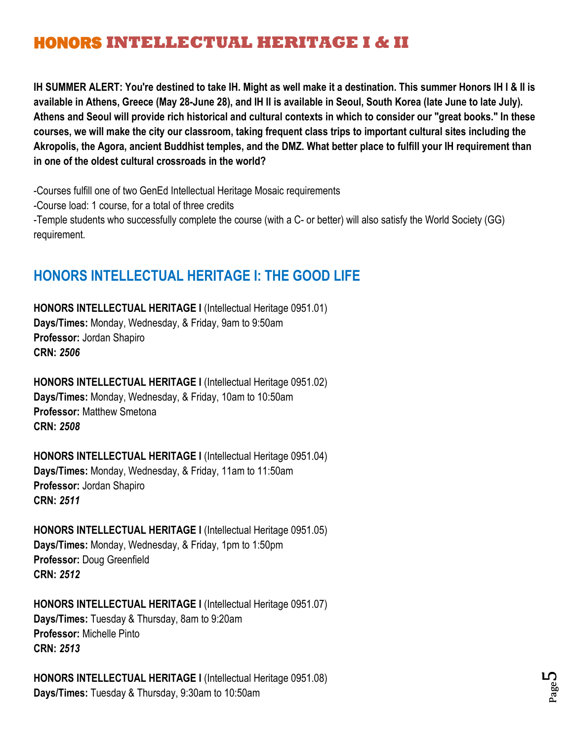# <span id="page-4-0"></span>HONORS **INTELLECTUAL HERITAGE I & II**

<span id="page-4-1"></span>**IH SUMMER ALERT: You're destined to take IH. Might as well make it a destination. This summer Honors IH I & II is available in Athens, Greece (May 28-June 28), and IH II is available in Seoul, South Korea (late June to late July). Athens and Seoul will provide rich historical and cultural contexts in which to consider our "great books." In these courses, we will make the city our classroom, taking frequent class trips to important cultural sites including the Akropolis, the Agora, ancient Buddhist temples, and the DMZ. What better place to fulfill your IH requirement than in one of the oldest cultural crossroads in the world?**

-Courses fulfill one of two GenEd Intellectual Heritage Mosaic requirements

-Course load: 1 course, for a total of three credits

-Temple students who successfully complete the course (with a C- or better) will also satisfy the World Society (GG) requirement.

## <span id="page-4-2"></span>**HONORS INTELLECTUAL HERITAGE I: THE GOOD LIFE**

**HONORS INTELLECTUAL HERITAGE I** (Intellectual Heritage 0951.01) **Days/Times:** Monday, Wednesday, & Friday, 9am to 9:50am **Professor:** Jordan Shapiro **CRN:** *2506*

**HONORS INTELLECTUAL HERITAGE I** (Intellectual Heritage 0951.02) **Days/Times:** Monday, Wednesday, & Friday, 10am to 10:50am **Professor:** Matthew Smetona **CRN:** *2508*

**HONORS INTELLECTUAL HERITAGE I** (Intellectual Heritage 0951.04) **Days/Times:** Monday, Wednesday, & Friday, 11am to 11:50am **Professor:** Jordan Shapiro **CRN:** *2511*

**HONORS INTELLECTUAL HERITAGE I** (Intellectual Heritage 0951.05) **Days/Times:** Monday, Wednesday, & Friday, 1pm to 1:50pm **Professor:** Doug Greenfield **CRN:** *2512*

**HONORS INTELLECTUAL HERITAGE I** (Intellectual Heritage 0951.07) **Days/Times:** Tuesday & Thursday, 8am to 9:20am **Professor:** Michelle Pinto **CRN:** *2513*

**HONORS INTELLECTUAL HERITAGE I** (Intellectual Heritage 0951.08) **Days/Times:** Tuesday & Thursday, 9:30am to 10:50am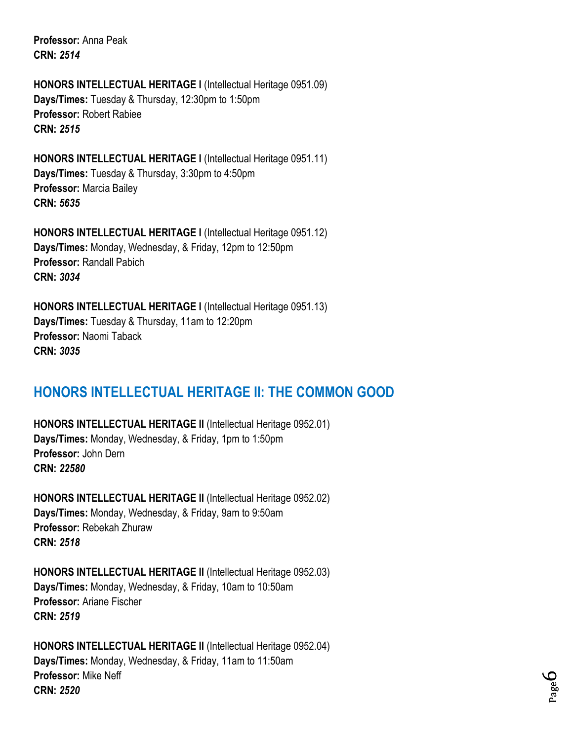**Professor:** Anna Peak **CRN:** *2514*

**HONORS INTELLECTUAL HERITAGE I** (Intellectual Heritage 0951.09) **Days/Times:** Tuesday & Thursday, 12:30pm to 1:50pm **Professor:** Robert Rabiee **CRN:** *2515*

**HONORS INTELLECTUAL HERITAGE I** (Intellectual Heritage 0951.11) **Days/Times:** Tuesday & Thursday, 3:30pm to 4:50pm **Professor:** Marcia Bailey **CRN:** *5635*

**HONORS INTELLECTUAL HERITAGE I** (Intellectual Heritage 0951.12) **Days/Times:** Monday, Wednesday, & Friday, 12pm to 12:50pm **Professor:** Randall Pabich **CRN:** *3034*

**HONORS INTELLECTUAL HERITAGE I** (Intellectual Heritage 0951.13) **Days/Times:** Tuesday & Thursday, 11am to 12:20pm **Professor:** Naomi Taback **CRN:** *3035*

## <span id="page-5-0"></span>**HONORS INTELLECTUAL HERITAGE II: THE COMMON GOOD**

**HONORS INTELLECTUAL HERITAGE II** (Intellectual Heritage 0952.01) **Days/Times:** Monday, Wednesday, & Friday, 1pm to 1:50pm **Professor:** John Dern **CRN:** *22580*

**HONORS INTELLECTUAL HERITAGE II** (Intellectual Heritage 0952.02) **Days/Times:** Monday, Wednesday, & Friday, 9am to 9:50am **Professor:** Rebekah Zhuraw **CRN:** *2518*

**HONORS INTELLECTUAL HERITAGE II** (Intellectual Heritage 0952.03) **Days/Times:** Monday, Wednesday, & Friday, 10am to 10:50am **Professor:** Ariane Fischer **CRN:** *2519*

**HONORS INTELLECTUAL HERITAGE II** (Intellectual Heritage 0952.04) **Days/Times:** Monday, Wednesday, & Friday, 11am to 11:50am **Professor:** Mike Neff **CRN:** *2520*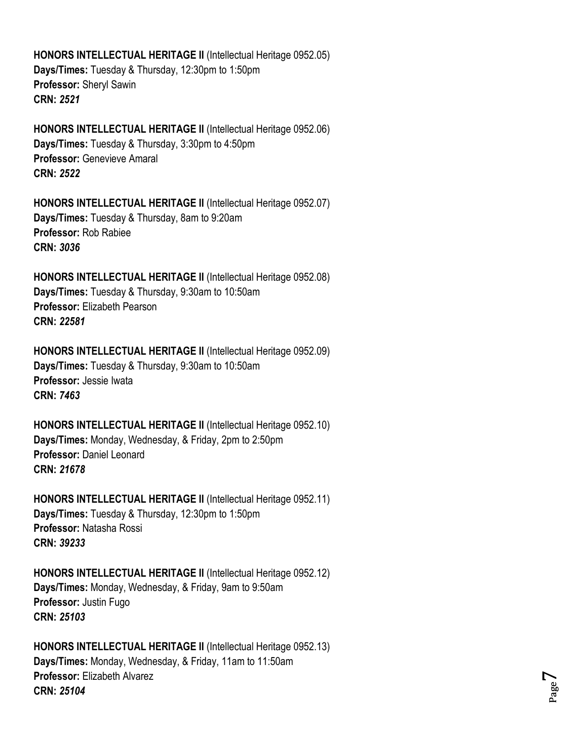**HONORS INTELLECTUAL HERITAGE II** (Intellectual Heritage 0952.05) **Days/Times:** Tuesday & Thursday, 12:30pm to 1:50pm **Professor:** Sheryl Sawin **CRN:** *2521*

**HONORS INTELLECTUAL HERITAGE II** (Intellectual Heritage 0952.06) **Days/Times:** Tuesday & Thursday, 3:30pm to 4:50pm **Professor:** Genevieve Amaral **CRN:** *2522*

**HONORS INTELLECTUAL HERITAGE II** (Intellectual Heritage 0952.07) **Days/Times:** Tuesday & Thursday, 8am to 9:20am **Professor:** Rob Rabiee **CRN:** *3036*

**HONORS INTELLECTUAL HERITAGE II** (Intellectual Heritage 0952.08) **Days/Times:** Tuesday & Thursday, 9:30am to 10:50am **Professor:** Elizabeth Pearson **CRN:** *22581*

**HONORS INTELLECTUAL HERITAGE II** (Intellectual Heritage 0952.09) **Days/Times:** Tuesday & Thursday, 9:30am to 10:50am **Professor:** Jessie Iwata **CRN:** *7463*

**HONORS INTELLECTUAL HERITAGE II** (Intellectual Heritage 0952.10) **Days/Times:** Monday, Wednesday, & Friday, 2pm to 2:50pm **Professor:** Daniel Leonard **CRN:** *21678*

**HONORS INTELLECTUAL HERITAGE II** (Intellectual Heritage 0952.11) **Days/Times:** Tuesday & Thursday, 12:30pm to 1:50pm **Professor:** Natasha Rossi **CRN:** *39233*

**HONORS INTELLECTUAL HERITAGE II** (Intellectual Heritage 0952.12) **Days/Times:** Monday, Wednesday, & Friday, 9am to 9:50am **Professor:** Justin Fugo **CRN:** *25103*

**HONORS INTELLECTUAL HERITAGE II** (Intellectual Heritage 0952.13) **Days/Times:** Monday, Wednesday, & Friday, 11am to 11:50am **Professor:** Elizabeth Alvarez **CRN:** *25104*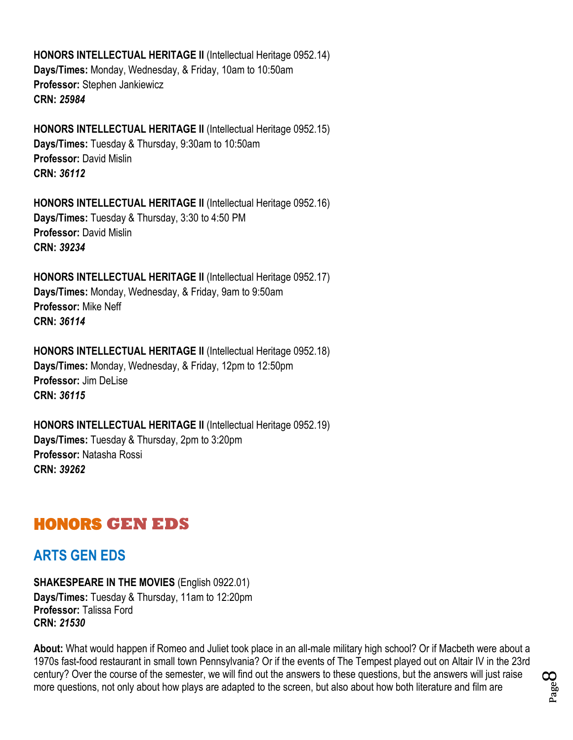**HONORS INTELLECTUAL HERITAGE II** (Intellectual Heritage 0952.14) **Days/Times:** Monday, Wednesday, & Friday, 10am to 10:50am **Professor:** Stephen Jankiewicz **CRN:** *25984*

**HONORS INTELLECTUAL HERITAGE II** (Intellectual Heritage 0952.15) **Days/Times:** Tuesday & Thursday, 9:30am to 10:50am **Professor:** David Mislin **CRN:** *36112*

**HONORS INTELLECTUAL HERITAGE II** (Intellectual Heritage 0952.16) **Days/Times:** Tuesday & Thursday, 3:30 to 4:50 PM **Professor:** David Mislin **CRN:** *39234*

**HONORS INTELLECTUAL HERITAGE II** (Intellectual Heritage 0952.17) **Days/Times:** Monday, Wednesday, & Friday, 9am to 9:50am **Professor:** Mike Neff **CRN:** *36114*

**HONORS INTELLECTUAL HERITAGE II** (Intellectual Heritage 0952.18) **Days/Times:** Monday, Wednesday, & Friday, 12pm to 12:50pm **Professor:** Jim DeLise **CRN:** *36115*

**HONORS INTELLECTUAL HERITAGE II** (Intellectual Heritage 0952.19) **Days/Times:** Tuesday & Thursday, 2pm to 3:20pm **Professor:** Natasha Rossi **CRN:** *39262*

## <span id="page-7-0"></span>HONORS **GEN EDS**

## <span id="page-7-1"></span>**ARTS GEN EDS**

<span id="page-7-2"></span>**SHAKESPEARE IN THE MOVIES** (English 0922.01)

**Days/Times:** Tuesday & Thursday, 11am to 12:20pm **Professor:** Talissa Ford **CRN:** *21530*

**About:** What would happen if Romeo and Juliet took place in an all-male military high school? Or if Macbeth were about a 1970s fast-food restaurant in small town Pennsylvania? Or if the events of The Tempest played out on Altair IV in the 23rd century? Over the course of the semester, we will find out the answers to these questions, but the answers will just raise more questions, not only about how plays are adapted to the screen, but also about how both literature and film are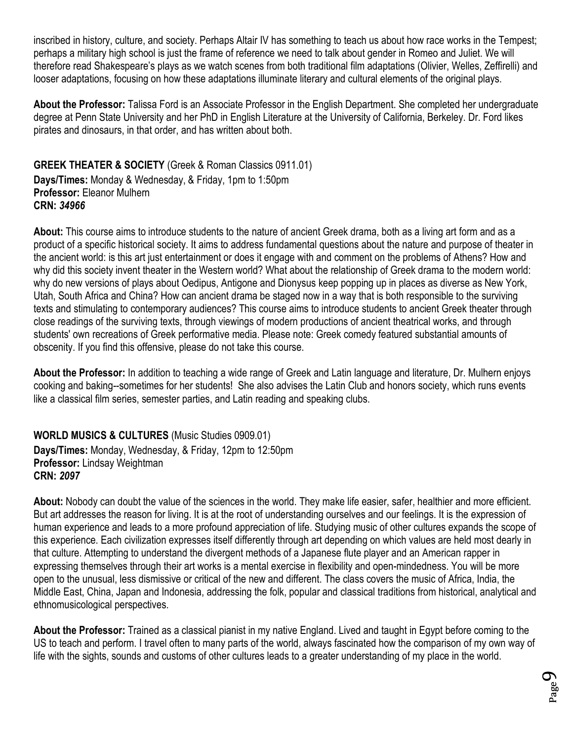inscribed in history, culture, and society. Perhaps Altair IV has something to teach us about how race works in the Tempest; perhaps a military high school is just the frame of reference we need to talk about gender in Romeo and Juliet. We will therefore read Shakespeare's plays as we watch scenes from both traditional film adaptations (Olivier, Welles, Zeffirelli) and looser adaptations, focusing on how these adaptations illuminate literary and cultural elements of the original plays.

**About the Professor:** Talissa Ford is an Associate Professor in the English Department. She completed her undergraduate degree at Penn State University and her PhD in English Literature at the University of California, Berkeley. Dr. Ford likes pirates and dinosaurs, in that order, and has written about both.

<span id="page-8-0"></span>**GREEK THEATER & SOCIETY** (Greek & Roman Classics 0911.01) **Days/Times:** Monday & Wednesday, & Friday, 1pm to 1:50pm **Professor:** Eleanor Mulhern **CRN:** *34966*

**About:** This course aims to introduce students to the nature of ancient Greek drama, both as a living art form and as a product of a specific historical society. It aims to address fundamental questions about the nature and purpose of theater in the ancient world: is this art just entertainment or does it engage with and comment on the problems of Athens? How and why did this society invent theater in the Western world? What about the relationship of Greek drama to the modern world: why do new versions of plays about Oedipus, Antigone and Dionysus keep popping up in places as diverse as New York, Utah, South Africa and China? How can ancient drama be staged now in a way that is both responsible to the surviving texts and stimulating to contemporary audiences? This course aims to introduce students to ancient Greek theater through close readings of the surviving texts, through viewings of modern productions of ancient theatrical works, and through students' own recreations of Greek performative media. Please note: Greek comedy featured substantial amounts of obscenity. If you find this offensive, please do not take this course.

**About the Professor:** In addition to teaching a wide range of Greek and Latin language and literature, Dr. Mulhern enjoys cooking and baking--sometimes for her students! She also advises the Latin Club and honors society, which runs events like a classical film series, semester parties, and Latin reading and speaking clubs.

<span id="page-8-1"></span>**WORLD MUSICS & CULTURES** (Music Studies 0909.01) **Days/Times:** Monday, Wednesday, & Friday, 12pm to 12:50pm **Professor:** Lindsay Weightman **CRN:** *2097*

**About:** Nobody can doubt the value of the sciences in the world. They make life easier, safer, healthier and more efficient. But art addresses the reason for living. It is at the root of understanding ourselves and our feelings. It is the expression of human experience and leads to a more profound appreciation of life. Studying music of other cultures expands the scope of this experience. Each civilization expresses itself differently through art depending on which values are held most dearly in that culture. Attempting to understand the divergent methods of a Japanese flute player and an American rapper in expressing themselves through their art works is a mental exercise in flexibility and open-mindedness. You will be more open to the unusual, less dismissive or critical of the new and different. The class covers the music of Africa, India, the Middle East, China, Japan and Indonesia, addressing the folk, popular and classical traditions from historical, analytical and ethnomusicological perspectives.

**About the Professor:** Trained as a classical pianist in my native England. Lived and taught in Egypt before coming to the US to teach and perform. I travel often to many parts of the world, always fascinated how the comparison of my own way of life with the sights, sounds and customs of other cultures leads to a greater understanding of my place in the world.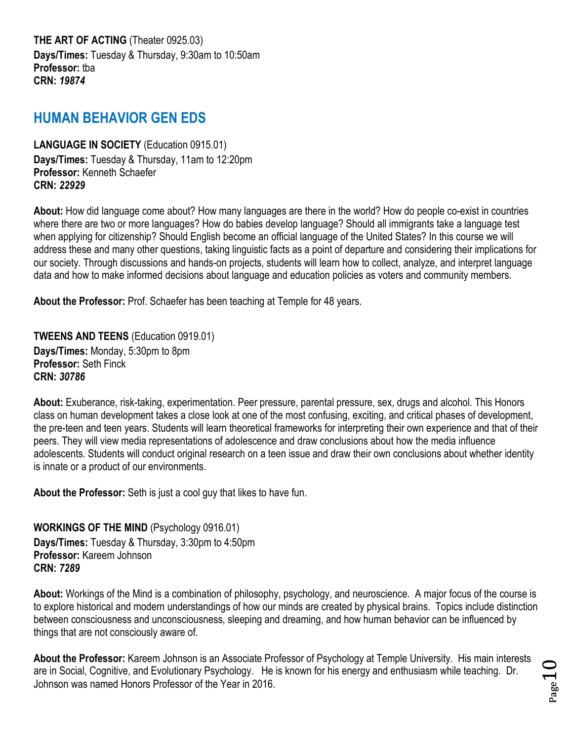<span id="page-9-0"></span>**THE ART OF ACTING** (Theater 0925.03) **Days/Times:** Tuesday & Thursday, 9:30am to 10:50am **Professor:** tba **CRN:** *19874*

## <span id="page-9-1"></span>**HUMAN BEHAVIOR GEN EDS**

<span id="page-9-2"></span>**LANGUAGE IN SOCIETY** (Education 0915.01) **Days/Times:** Tuesday & Thursday, 11am to 12:20pm **Professor:** Kenneth Schaefer **CRN:** *22929*

**About:** How did language come about? How many languages are there in the world? How do people co-exist in countries where there are two or more languages? How do babies develop language? Should all immigrants take a language test when applying for citizenship? Should English become an official language of the United States? In this course we will address these and many other questions, taking linguistic facts as a point of departure and considering their implications for our society. Through discussions and hands-on projects, students will learn how to collect, analyze, and interpret language data and how to make informed decisions about language and education policies as voters and community members.

**About the Professor:** Prof. Schaefer has been teaching at Temple for 48 years.

<span id="page-9-3"></span>**TWEENS AND TEENS** (Education 0919.01) **Days/Times:** Monday, 5:30pm to 8pm **Professor:** Seth Finck **CRN:** *30786*

**About:** Exuberance, risk-taking, experimentation. Peer pressure, parental pressure, sex, drugs and alcohol. This Honors class on human development takes a close look at one of the most confusing, exciting, and critical phases of development, the pre-teen and teen years. Students will learn theoretical frameworks for interpreting their own experience and that of their peers. They will view media representations of adolescence and draw conclusions about how the media influence adolescents. Students will conduct original research on a teen issue and draw their own conclusions about whether identity is innate or a product of our environments.

**About the Professor:** Seth is just a cool guy that likes to have fun.

<span id="page-9-4"></span>**WORKINGS OF THE MIND** (Psychology 0916.01) **Days/Times:** Tuesday & Thursday, 3:30pm to 4:50pm **Professor:** Kareem Johnson **CRN:** *7289*

**About:** Workings of the Mind is a combination of philosophy, psychology, and neuroscience. A major focus of the course is to explore historical and modern understandings of how our minds are created by physical brains. Topics include distinction between consciousness and unconsciousness, sleeping and dreaming, and how human behavior can be influenced by things that are not consciously aware of.

**About the Professor:** Kareem Johnson is an Associate Professor of Psychology at Temple University. His main interests are in Social, Cognitive, and Evolutionary Psychology. He is known for his energy and enthusiasm while teaching. Dr. Johnson was named Honors Professor of the Year in 2016.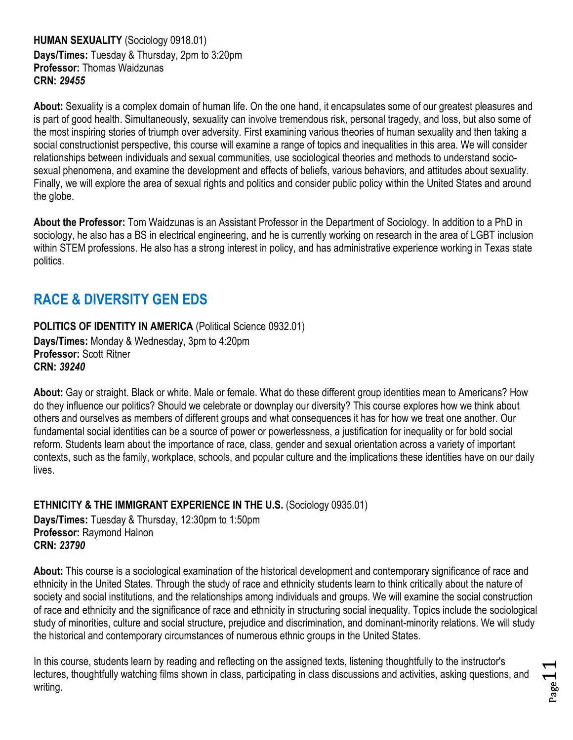#### <span id="page-10-0"></span>**HUMAN SEXUALITY** (Sociology 0918.01) **Days/Times:** Tuesday & Thursday, 2pm to 3:20pm **Professor:** Thomas Waidzunas **CRN:** *29455*

**About:** Sexuality is a complex domain of human life. On the one hand, it encapsulates some of our greatest pleasures and is part of good health. Simultaneously, sexuality can involve tremendous risk, personal tragedy, and loss, but also some of the most inspiring stories of triumph over adversity. First examining various theories of human sexuality and then taking a social constructionist perspective, this course will examine a range of topics and inequalities in this area. We will consider relationships between individuals and sexual communities, use sociological theories and methods to understand sociosexual phenomena, and examine the development and effects of beliefs, various behaviors, and attitudes about sexuality. Finally, we will explore the area of sexual rights and politics and consider public policy within the United States and around the globe.

**About the Professor:** Tom Waidzunas is an Assistant Professor in the Department of Sociology. In addition to a PhD in sociology, he also has a BS in electrical engineering, and he is currently working on research in the area of LGBT inclusion within STEM professions. He also has a strong interest in policy, and has administrative experience working in Texas state politics.

## <span id="page-10-1"></span>**RACE & DIVERSITY GEN EDS**

<span id="page-10-2"></span>**POLITICS OF IDENTITY IN AMERICA (Political Science 0932.01) Days/Times:** Monday & Wednesday, 3pm to 4:20pm **Professor:** Scott Ritner **CRN:** *39240*

**About:** Gay or straight. Black or white. Male or female. What do these different group identities mean to Americans? How do they influence our politics? Should we celebrate or downplay our diversity? This course explores how we think about others and ourselves as members of different groups and what consequences it has for how we treat one another. Our fundamental social identities can be a source of power or powerlessness, a justification for inequality or for bold social reform. Students learn about the importance of race, class, gender and sexual orientation across a variety of important contexts, such as the family, workplace, schools, and popular culture and the implications these identities have on our daily lives.

<span id="page-10-3"></span>**ETHNICITY & THE IMMIGRANT EXPERIENCE IN THE U.S.** (Sociology 0935.01)

**Days/Times:** Tuesday & Thursday, 12:30pm to 1:50pm **Professor:** Raymond Halnon **CRN:** *23790*

**About:** This course is a sociological examination of the historical development and contemporary significance of race and ethnicity in the United States. Through the study of race and ethnicity students learn to think critically about the nature of society and social institutions, and the relationships among individuals and groups. We will examine the social construction of race and ethnicity and the significance of race and ethnicity in structuring social inequality. Topics include the sociological study of minorities, culture and social structure, prejudice and discrimination, and dominant-minority relations. We will study the historical and contemporary circumstances of numerous ethnic groups in the United States.

In this course, students learn by reading and reflecting on the assigned texts, listening thoughtfully to the instructor's lectures, thoughtfully watching films shown in class, participating in class discussions and activities, asking questions, and writing.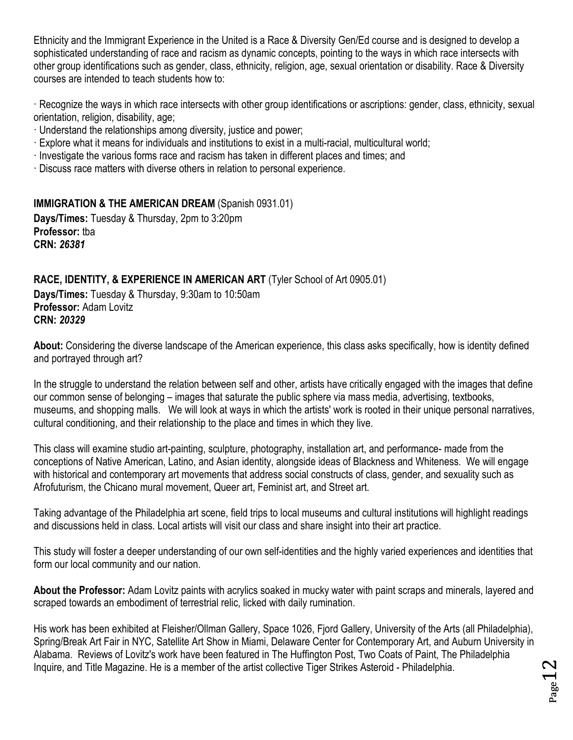Ethnicity and the Immigrant Experience in the United is a Race & Diversity Gen/Ed course and is designed to develop a sophisticated understanding of race and racism as dynamic concepts, pointing to the ways in which race intersects with other group identifications such as gender, class, ethnicity, religion, age, sexual orientation or disability. Race & Diversity courses are intended to teach students how to:

· Recognize the ways in which race intersects with other group identifications or ascriptions: gender, class, ethnicity, sexual orientation, religion, disability, age;

- · Understand the relationships among diversity, justice and power;
- · Explore what it means for individuals and institutions to exist in a multi-racial, multicultural world;
- · Investigate the various forms race and racism has taken in different places and times; and
- · Discuss race matters with diverse others in relation to personal experience.

#### <span id="page-11-0"></span>**IMMIGRATION & THE AMERICAN DREAM** (Spanish 0931.01) **Days/Times:** Tuesday & Thursday, 2pm to 3:20pm

**Professor:** tba **CRN:** *26381*

## <span id="page-11-1"></span>**RACE, IDENTITY, & EXPERIENCE IN AMERICAN ART** (Tyler School of Art 0905.01)

**Days/Times:** Tuesday & Thursday, 9:30am to 10:50am **Professor:** Adam Lovitz **CRN:** *20329*

**About:** Considering the diverse landscape of the American experience, this class asks specifically, how is identity defined and portrayed through art?

In the struggle to understand the relation between self and other, artists have critically engaged with the images that define our common sense of belonging – images that saturate the public sphere via mass media, advertising, textbooks, museums, and shopping malls. We will look at ways in which the artists' work is rooted in their unique personal narratives, cultural conditioning, and their relationship to the place and times in which they live.

This class will examine studio art-painting, sculpture, photography, installation art, and performance- made from the conceptions of Native American, Latino, and Asian identity, alongside ideas of Blackness and Whiteness. We will engage with historical and contemporary art movements that address social constructs of class, gender, and sexuality such as Afrofuturism, the Chicano mural movement, Queer art, Feminist art, and Street art.

Taking advantage of the Philadelphia art scene, field trips to local museums and cultural institutions will highlight readings and discussions held in class. Local artists will visit our class and share insight into their art practice.

This study will foster a deeper understanding of our own self-identities and the highly varied experiences and identities that form our local community and our nation.

**About the Professor:** Adam Lovitz paints with acrylics soaked in mucky water with paint scraps and minerals, layered and scraped towards an embodiment of terrestrial relic, licked with daily rumination.

His work has been exhibited at Fleisher/Ollman Gallery, Space 1026, Fjord Gallery, University of the Arts (all Philadelphia), Spring/Break Art Fair in NYC, Satellite Art Show in Miami, Delaware Center for Contemporary Art, and Auburn University in Alabama. Reviews of Lovitz's work have been featured in The Huffington Post, Two Coats of Paint, The Philadelphia Inquire, and Title Magazine. He is a member of the artist collective Tiger Strikes Asteroid - Philadelphia.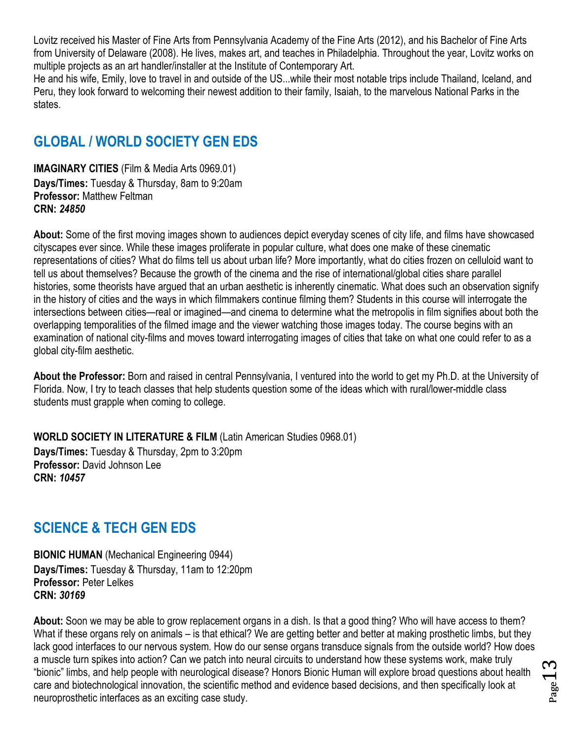Lovitz received his Master of Fine Arts from Pennsylvania Academy of the Fine Arts (2012), and his Bachelor of Fine Arts from University of Delaware (2008). He lives, makes art, and teaches in Philadelphia. Throughout the year, Lovitz works on multiple projects as an art handler/installer at the Institute of Contemporary Art.

He and his wife, Emily, love to travel in and outside of the US...while their most notable trips include Thailand, Iceland, and Peru, they look forward to welcoming their newest addition to their family, Isaiah, to the marvelous National Parks in the states.

## <span id="page-12-0"></span>**GLOBAL / WORLD SOCIETY GEN EDS**

<span id="page-12-1"></span>**IMAGINARY CITIES** (Film & Media Arts 0969.01) **Days/Times:** Tuesday & Thursday, 8am to 9:20am **Professor:** Matthew Feltman **CRN:** *24850*

**About:** Some of the first moving images shown to audiences depict everyday scenes of city life, and films have showcased cityscapes ever since. While these images proliferate in popular culture, what does one make of these cinematic representations of cities? What do films tell us about urban life? More importantly, what do cities frozen on celluloid want to tell us about themselves? Because the growth of the cinema and the rise of international/global cities share parallel histories, some theorists have argued that an urban aesthetic is inherently cinematic. What does such an observation signify in the history of cities and the ways in which filmmakers continue filming them? Students in this course will interrogate the intersections between cities—real or imagined—and cinema to determine what the metropolis in film signifies about both the overlapping temporalities of the filmed image and the viewer watching those images today. The course begins with an examination of national city-films and moves toward interrogating images of cities that take on what one could refer to as a global city-film aesthetic.

**About the Professor:** Born and raised in central Pennsylvania, I ventured into the world to get my Ph.D. at the University of Florida. Now, I try to teach classes that help students question some of the ideas which with rural/lower-middle class students must grapple when coming to college.

<span id="page-12-2"></span>**WORLD SOCIETY IN LITERATURE & FILM** (Latin American Studies 0968.01)

**Days/Times:** Tuesday & Thursday, 2pm to 3:20pm **Professor:** David Johnson Lee **CRN:** *10457*

## <span id="page-12-3"></span>**SCIENCE & TECH GEN EDS**

<span id="page-12-4"></span>**BIONIC HUMAN** (Mechanical Engineering 0944) **Days/Times:** Tuesday & Thursday, 11am to 12:20pm **Professor:** Peter Lelkes **CRN:** *30169*

**About:** Soon we may be able to grow replacement organs in a dish. Is that a good thing? Who will have access to them? What if these organs rely on animals – is that ethical? We are getting better and better at making prosthetic limbs, but they lack good interfaces to our nervous system. How do our sense organs transduce signals from the outside world? How does a muscle turn spikes into action? Can we patch into neural circuits to understand how these systems work, make truly "bionic" limbs, and help people with neurological disease? Honors Bionic Human will explore broad questions about health care and biotechnological innovation, the scientific method and evidence based decisions, and then specifically look at neuroprosthetic interfaces as an exciting case study.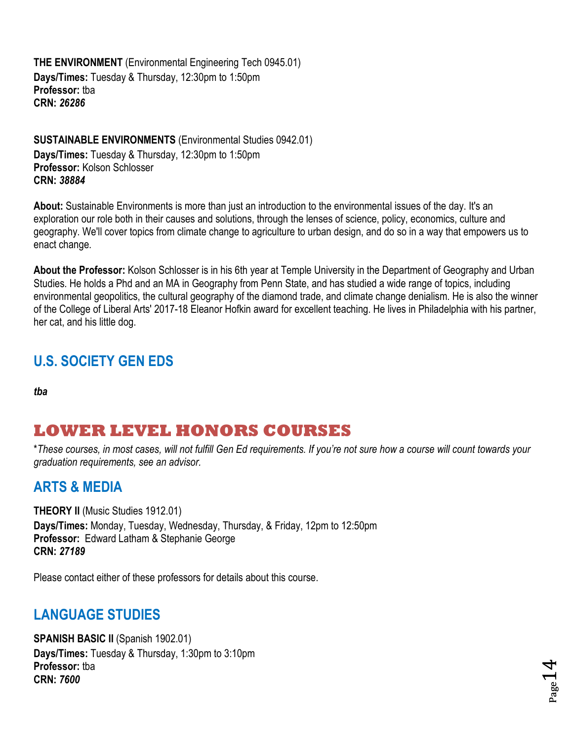<span id="page-13-0"></span>**THE ENVIRONMENT** (Environmental Engineering Tech 0945.01) **Days/Times:** Tuesday & Thursday, 12:30pm to 1:50pm **Professor:** tba **CRN:** *26286*

<span id="page-13-1"></span>**SUSTAINABLE ENVIRONMENTS** (Environmental Studies 0942.01) **Days/Times:** Tuesday & Thursday, 12:30pm to 1:50pm **Professor:** Kolson Schlosser **CRN:** *38884*

**About:** Sustainable Environments is more than just an introduction to the environmental issues of the day. It's an exploration our role both in their causes and solutions, through the lenses of science, policy, economics, culture and geography. We'll cover topics from climate change to agriculture to urban design, and do so in a way that empowers us to enact change.

**About the Professor:** Kolson Schlosser is in his 6th year at Temple University in the Department of Geography and Urban Studies. He holds a Phd and an MA in Geography from Penn State, and has studied a wide range of topics, including environmental geopolitics, the cultural geography of the diamond trade, and climate change denialism. He is also the winner of the College of Liberal Arts' 2017-18 Eleanor Hofkin award for excellent teaching. He lives in Philadelphia with his partner, her cat, and his little dog.

## <span id="page-13-2"></span>**U.S. SOCIETY GEN EDS**

<span id="page-13-3"></span>*tba*

# **LOWER LEVEL HONORS COURSES**

\**These courses, in most cases, will not fulfill Gen Ed requirements. If you're not sure how a course will count towards your graduation requirements, see an advisor.*

## <span id="page-13-4"></span>**ARTS & MEDIA**

<span id="page-13-5"></span>**THEORY II** (Music Studies 1912.01) **Days/Times:** Monday, Tuesday, Wednesday, Thursday, & Friday, 12pm to 12:50pm **Professor:** Edward Latham & Stephanie George **CRN:** *27189*

Please contact either of these professors for details about this course.

## <span id="page-13-6"></span>**LANGUAGE STUDIES**

<span id="page-13-7"></span>**SPANISH BASIC II (Spanish 1902.01) Days/Times:** Tuesday & Thursday, 1:30pm to 3:10pm **Professor:** tba **CRN:** *7600*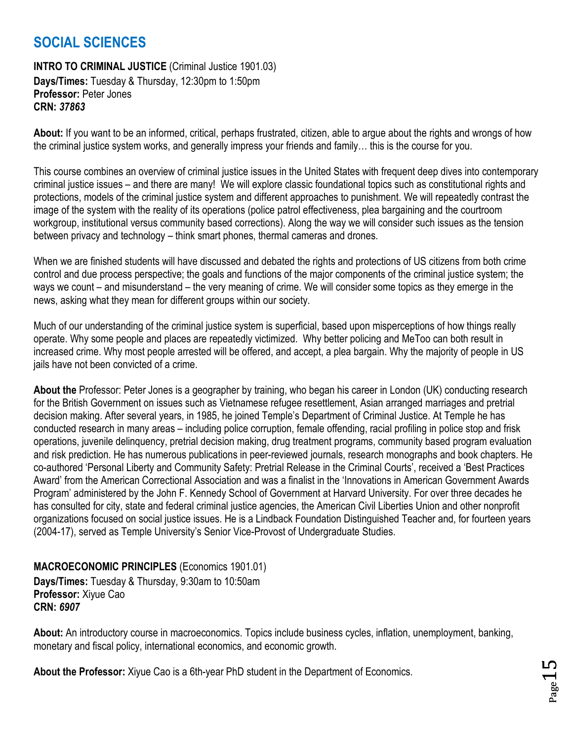## <span id="page-14-0"></span>**SOCIAL SCIENCES**

#### <span id="page-14-1"></span>**INTRO TO CRIMINAL JUSTICE** (Criminal Justice 1901.03) **Days/Times:** Tuesday & Thursday, 12:30pm to 1:50pm **Professor:** Peter Jones **CRN:** *37863*

**About:** If you want to be an informed, critical, perhaps frustrated, citizen, able to argue about the rights and wrongs of how the criminal justice system works, and generally impress your friends and family… this is the course for you.

This course combines an overview of criminal justice issues in the United States with frequent deep dives into contemporary criminal justice issues – and there are many! We will explore classic foundational topics such as constitutional rights and protections, models of the criminal justice system and different approaches to punishment. We will repeatedly contrast the image of the system with the reality of its operations (police patrol effectiveness, plea bargaining and the courtroom workgroup, institutional versus community based corrections). Along the way we will consider such issues as the tension between privacy and technology – think smart phones, thermal cameras and drones.

When we are finished students will have discussed and debated the rights and protections of US citizens from both crime control and due process perspective; the goals and functions of the major components of the criminal justice system; the ways we count – and misunderstand – the very meaning of crime. We will consider some topics as they emerge in the news, asking what they mean for different groups within our society.

Much of our understanding of the criminal justice system is superficial, based upon misperceptions of how things really operate. Why some people and places are repeatedly victimized. Why better policing and MeToo can both result in increased crime. Why most people arrested will be offered, and accept, a plea bargain. Why the majority of people in US jails have not been convicted of a crime.

**About the** Professor: Peter Jones is a geographer by training, who began his career in London (UK) conducting research for the British Government on issues such as Vietnamese refugee resettlement, Asian arranged marriages and pretrial decision making. After several years, in 1985, he joined Temple's Department of Criminal Justice. At Temple he has conducted research in many areas – including police corruption, female offending, racial profiling in police stop and frisk operations, juvenile delinquency, pretrial decision making, drug treatment programs, community based program evaluation and risk prediction. He has numerous publications in peer-reviewed journals, research monographs and book chapters. He co-authored 'Personal Liberty and Community Safety: Pretrial Release in the Criminal Courts', received a 'Best Practices Award' from the American Correctional Association and was a finalist in the 'Innovations in American Government Awards Program' administered by the John F. Kennedy School of Government at Harvard University. For over three decades he has consulted for city, state and federal criminal justice agencies, the American Civil Liberties Union and other nonprofit organizations focused on social justice issues. He is a Lindback Foundation Distinguished Teacher and, for fourteen years (2004-17), served as Temple University's Senior Vice-Provost of Undergraduate Studies.

#### <span id="page-14-2"></span>**MACROECONOMIC PRINCIPLES** (Economics 1901.01)

**Days/Times:** Tuesday & Thursday, 9:30am to 10:50am **Professor:** Xiyue Cao **CRN:** *6907*

**About:** An introductory course in macroeconomics. Topics include business cycles, inflation, unemployment, banking, monetary and fiscal policy, international economics, and economic growth.

**About the Professor:** Xiyue Cao is a 6th-year PhD student in the Department of Economics.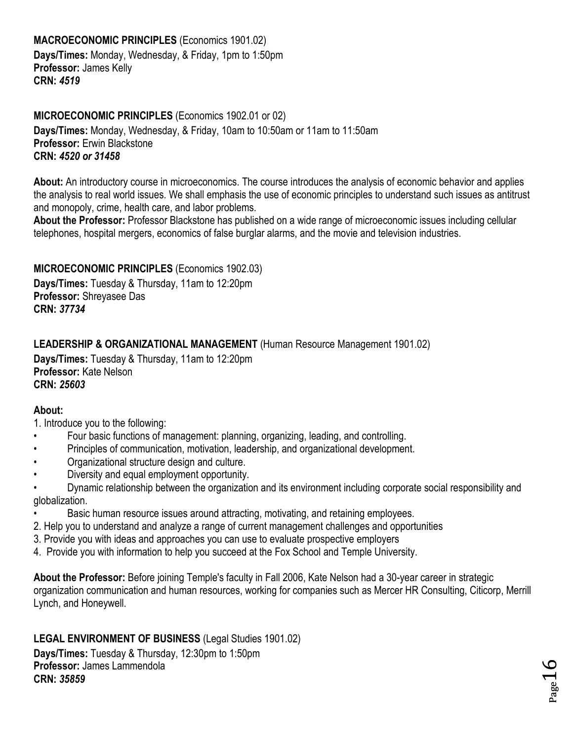### <span id="page-15-0"></span>**MACROECONOMIC PRINCIPLES** (Economics 1901.02)

**Days/Times:** Monday, Wednesday, & Friday, 1pm to 1:50pm **Professor:** James Kelly **CRN:** *4519*

#### <span id="page-15-1"></span>**MICROECONOMIC PRINCIPLES** (Economics 1902.01 or 02)

**Days/Times:** Monday, Wednesday, & Friday, 10am to 10:50am or 11am to 11:50am **Professor:** Erwin Blackstone **CRN:** *4520 or 31458*

**About:** An introductory course in microeconomics. The course introduces the analysis of economic behavior and applies the analysis to real world issues. We shall emphasis the use of economic principles to understand such issues as antitrust and monopoly, crime, health care, and labor problems.

**About the Professor:** Professor Blackstone has published on a wide range of microeconomic issues including cellular telephones, hospital mergers, economics of false burglar alarms, and the movie and television industries.

#### <span id="page-15-2"></span>**MICROECONOMIC PRINCIPLES** (Economics 1902.03)

**Days/Times:** Tuesday & Thursday, 11am to 12:20pm **Professor:** Shreyasee Das **CRN:** *37734*

#### <span id="page-15-3"></span>**LEADERSHIP & ORGANIZATIONAL MANAGEMENT** (Human Resource Management 1901.02)

**Days/Times:** Tuesday & Thursday, 11am to 12:20pm **Professor:** Kate Nelson **CRN:** *25603*

#### **About:**

1. Introduce you to the following:

- Four basic functions of management: planning, organizing, leading, and controlling.
- Principles of communication, motivation, leadership, and organizational development.
- Organizational structure design and culture.
- Diversity and equal employment opportunity.

• Dynamic relationship between the organization and its environment including corporate social responsibility and globalization.

- Basic human resource issues around attracting, motivating, and retaining employees.
- 2. Help you to understand and analyze a range of current management challenges and opportunities
- 3. Provide you with ideas and approaches you can use to evaluate prospective employers
- 4. Provide you with information to help you succeed at the Fox School and Temple University.

**About the Professor:** Before joining Temple's faculty in Fall 2006, Kate Nelson had a 30-year career in strategic organization communication and human resources, working for companies such as Mercer HR Consulting, Citicorp, Merrill Lynch, and Honeywell.

#### <span id="page-15-4"></span>**LEGAL ENVIRONMENT OF BUSINESS** (Legal Studies 1901.02)

**Days/Times:** Tuesday & Thursday, 12:30pm to 1:50pm **Professor:** James Lammendola **CRN:** *35859*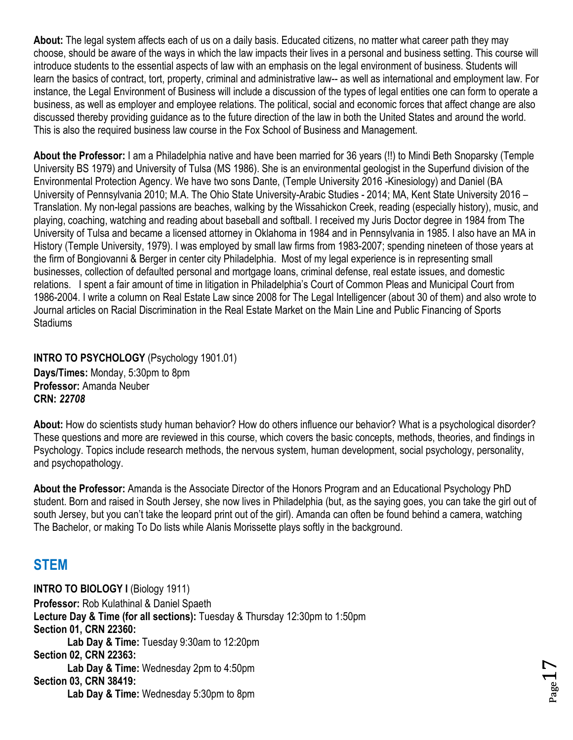**About:** The legal system affects each of us on a daily basis. Educated citizens, no matter what career path they may choose, should be aware of the ways in which the law impacts their lives in a personal and business setting. This course will introduce students to the essential aspects of law with an emphasis on the legal environment of business. Students will learn the basics of contract, tort, property, criminal and administrative law-- as well as international and employment law. For instance, the Legal Environment of Business will include a discussion of the types of legal entities one can form to operate a business, as well as employer and employee relations. The political, social and economic forces that affect change are also discussed thereby providing guidance as to the future direction of the law in both the United States and around the world. This is also the required business law course in the Fox School of Business and Management.

**About the Professor:** I am a Philadelphia native and have been married for 36 years (!!) to Mindi Beth Snoparsky (Temple University BS 1979) and University of Tulsa (MS 1986). She is an environmental geologist in the Superfund division of the Environmental Protection Agency. We have two sons Dante, (Temple University 2016 -Kinesiology) and Daniel (BA University of Pennsylvania 2010; M.A. The Ohio State University-Arabic Studies - 2014; MA, Kent State University 2016 – Translation. My non-legal passions are beaches, walking by the Wissahickon Creek, reading (especially history), music, and playing, coaching, watching and reading about baseball and softball. I received my Juris Doctor degree in 1984 from The University of Tulsa and became a licensed attorney in Oklahoma in 1984 and in Pennsylvania in 1985. I also have an MA in History (Temple University, 1979). I was employed by small law firms from 1983-2007; spending nineteen of those years at the firm of Bongiovanni & Berger in center city Philadelphia. Most of my legal experience is in representing small businesses, collection of defaulted personal and mortgage loans, criminal defense, real estate issues, and domestic relations. I spent a fair amount of time in litigation in Philadelphia's Court of Common Pleas and Municipal Court from 1986-2004. I write a column on Real Estate Law since 2008 for The Legal Intelligencer (about 30 of them) and also wrote to Journal articles on Racial Discrimination in the Real Estate Market on the Main Line and Public Financing of Sports **Stadiums** 

<span id="page-16-0"></span>**INTRO TO PSYCHOLOGY** (Psychology 1901.01) **Days/Times:** Monday, 5:30pm to 8pm **Professor:** Amanda Neuber **CRN:** *22708*

**About:** How do scientists study human behavior? How do others influence our behavior? What is a psychological disorder? These questions and more are reviewed in this course, which covers the basic concepts, methods, theories, and findings in Psychology. Topics include research methods, the nervous system, human development, social psychology, personality, and psychopathology.

**About the Professor:** Amanda is the Associate Director of the Honors Program and an Educational Psychology PhD student. Born and raised in South Jersey, she now lives in Philadelphia (but, as the saying goes, you can take the girl out of south Jersey, but you can't take the leopard print out of the girl). Amanda can often be found behind a camera, watching The Bachelor, or making To Do lists while Alanis Morissette plays softly in the background.

## <span id="page-16-1"></span>**STEM**

<span id="page-16-2"></span>**INTRO TO BIOLOGY I** (Biology 1911) **Professor:** Rob Kulathinal & Daniel Spaeth **Lecture Day & Time (for all sections):** Tuesday & Thursday 12:30pm to 1:50pm **Section 01, CRN 22360: Lab Day & Time:** Tuesday 9:30am to 12:20pm **Section 02, CRN 22363: Lab Day & Time:** Wednesday 2pm to 4:50pm **Section 03, CRN 38419: Lab Day & Time:** Wednesday 5:30pm to 8pm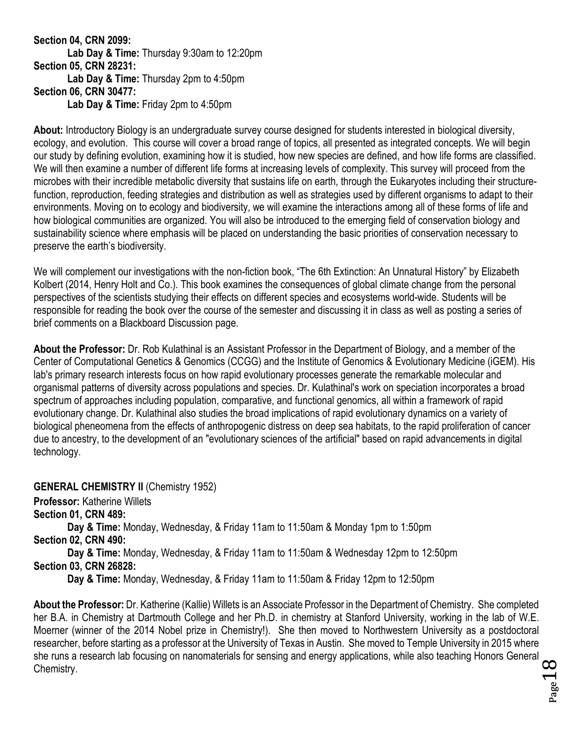#### **Section 04, CRN 2099: Lab Day & Time:** Thursday 9:30am to 12:20pm **Section 05, CRN 28231: Lab Day & Time:** Thursday 2pm to 4:50pm **Section 06, CRN 30477: Lab Day & Time:** Friday 2pm to 4:50pm

**About:** Introductory Biology is an undergraduate survey course designed for students interested in biological diversity, ecology, and evolution. This course will cover a broad range of topics, all presented as integrated concepts. We will begin our study by defining evolution, examining how it is studied, how new species are defined, and how life forms are classified. We will then examine a number of different life forms at increasing levels of complexity. This survey will proceed from the microbes with their incredible metabolic diversity that sustains life on earth, through the Eukaryotes including their structurefunction, reproduction, feeding strategies and distribution as well as strategies used by different organisms to adapt to their environments. Moving on to ecology and biodiversity, we will examine the interactions among all of these forms of life and how biological communities are organized. You will also be introduced to the emerging field of conservation biology and sustainability science where emphasis will be placed on understanding the basic priorities of conservation necessary to preserve the earth's biodiversity.

We will complement our investigations with the non-fiction book, "The 6th Extinction: An Unnatural History" by Elizabeth Kolbert (2014, Henry Holt and Co.). This book examines the consequences of global climate change from the personal perspectives of the scientists studying their effects on different species and ecosystems world-wide. Students will be responsible for reading the book over the course of the semester and discussing it in class as well as posting a series of brief comments on a Blackboard Discussion page.

**About the Professor:** Dr. Rob Kulathinal is an Assistant Professor in the Department of Biology, and a member of the Center of Computational Genetics & Genomics (CCGG) and the Institute of Genomics & Evolutionary Medicine (iGEM). His lab's primary research interests focus on how rapid evolutionary processes generate the remarkable molecular and organismal patterns of diversity across populations and species. Dr. Kulathinal's work on speciation incorporates a broad spectrum of approaches including population, comparative, and functional genomics, all within a framework of rapid evolutionary change. Dr. Kulathinal also studies the broad implications of rapid evolutionary dynamics on a variety of biological pheneomena from the effects of anthropogenic distress on deep sea habitats, to the rapid proliferation of cancer due to ancestry, to the development of an "evolutionary sciences of the artificial" based on rapid advancements in digital technology.

<span id="page-17-0"></span>**GENERAL CHEMISTRY II (Chemistry 1952)** 

**Professor:** Katherine Willets

**Section 01, CRN 489:**

**Day & Time:** Monday, Wednesday, & Friday 11am to 11:50am & Monday 1pm to 1:50pm **Section 02, CRN 490:**

**Day & Time:** Monday, Wednesday, & Friday 11am to 11:50am & Wednesday 12pm to 12:50pm **Section 03, CRN 26828:**

**Day & Time:** Monday, Wednesday, & Friday 11am to 11:50am & Friday 12pm to 12:50pm

**About the Professor:** Dr. Katherine (Kallie) Willets is an Associate Professor in the Department of Chemistry. She completed her B.A. in Chemistry at Dartmouth College and her Ph.D. in chemistry at Stanford University, working in the lab of W.E. Moerner (winner of the 2014 Nobel prize in Chemistry!). She then moved to Northwestern University as a postdoctoral researcher, before starting as a professor at the University of Texas in Austin. She moved to Temple University in 2015 where she runs a research lab focusing on nanomaterials for sensing and energy applications, while also teaching Honors General Chemistry.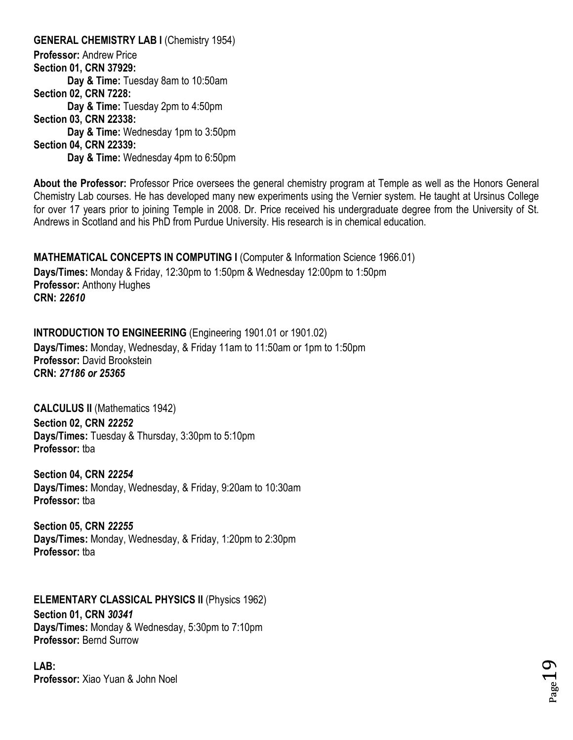<span id="page-18-0"></span>**GENERAL CHEMISTRY LAB I (Chemistry 1954) Professor:** Andrew Price **Section 01, CRN 37929: Day & Time:** Tuesday 8am to 10:50am **Section 02, CRN 7228: Day & Time:** Tuesday 2pm to 4:50pm **Section 03, CRN 22338: Day & Time:** Wednesday 1pm to 3:50pm **Section 04, CRN 22339: Day & Time:** Wednesday 4pm to 6:50pm

**About the Professor:** Professor Price oversees the general chemistry program at Temple as well as the Honors General Chemistry Lab courses. He has developed many new experiments using the Vernier system. He taught at Ursinus College for over 17 years prior to joining Temple in 2008. Dr. Price received his undergraduate degree from the University of St. Andrews in Scotland and his PhD from Purdue University. His research is in chemical education.

 $Page19$ 

<span id="page-18-1"></span>**MATHEMATICAL CONCEPTS IN COMPUTING I (Computer & Information Science 1966.01)** 

**Days/Times:** Monday & Friday, 12:30pm to 1:50pm & Wednesday 12:00pm to 1:50pm **Professor:** Anthony Hughes **CRN:** *22610*

<span id="page-18-2"></span>**INTRODUCTION TO ENGINEERING** (Engineering 1901.01 or 1901.02)

**Days/Times:** Monday, Wednesday, & Friday 11am to 11:50am or 1pm to 1:50pm **Professor:** David Brookstein **CRN:** *27186 or 25365*

<span id="page-18-3"></span>**CALCULUS II** (Mathematics 1942) **Section 02, CRN** *22252* **Days/Times:** Tuesday & Thursday, 3:30pm to 5:10pm **Professor:** tba

**Section 04, CRN** *22254* **Days/Times:** Monday, Wednesday, & Friday, 9:20am to 10:30am **Professor:** tba

**Section 05, CRN** *22255* **Days/Times:** Monday, Wednesday, & Friday, 1:20pm to 2:30pm **Professor:** tba

<span id="page-18-4"></span>**ELEMENTARY CLASSICAL PHYSICS II** (Physics 1962)

**Section 01, CRN** *30341* **Days/Times:** Monday & Wednesday, 5:30pm to 7:10pm **Professor:** Bernd Surrow

**LAB: Professor:** Xiao Yuan & John Noel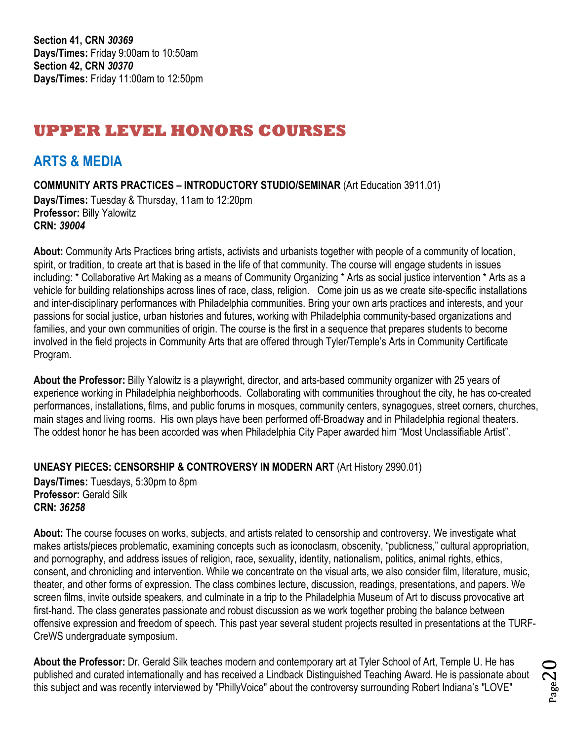# <span id="page-19-0"></span>**UPPER LEVEL HONORS COURSES**

## <span id="page-19-1"></span>**ARTS & MEDIA**

<span id="page-19-2"></span>**COMMUNITY ARTS PRACTICES – INTRODUCTORY STUDIO/SEMINAR** (Art Education 3911.01)

**Days/Times:** Tuesday & Thursday, 11am to 12:20pm **Professor:** Billy Yalowitz **CRN:** *39004*

**About:** Community Arts Practices bring artists, activists and urbanists together with people of a community of location, spirit, or tradition, to create art that is based in the life of that community. The course will engage students in issues including: \* Collaborative Art Making as a means of Community Organizing \* Arts as social justice intervention \* Arts as a vehicle for building relationships across lines of race, class, religion. Come join us as we create site-specific installations and inter-disciplinary performances with Philadelphia communities. Bring your own arts practices and interests, and your passions for social justice, urban histories and futures, working with Philadelphia community-based organizations and families, and your own communities of origin. The course is the first in a sequence that prepares students to become involved in the field projects in Community Arts that are offered through Tyler/Temple's Arts in Community Certificate Program.

**About the Professor:** Billy Yalowitz is a playwright, director, and arts-based community organizer with 25 years of experience working in Philadelphia neighborhoods. Collaborating with communities throughout the city, he has co-created performances, installations, films, and public forums in mosques, community centers, synagogues, street corners, churches, main stages and living rooms. His own plays have been performed off-Broadway and in Philadelphia regional theaters. The oddest honor he has been accorded was when Philadelphia City Paper awarded him "Most Unclassifiable Artist".

<span id="page-19-3"></span>**UNEASY PIECES: CENSORSHIP & CONTROVERSY IN MODERN ART** (Art History 2990.01)

**Days/Times:** Tuesdays, 5:30pm to 8pm **Professor:** Gerald Silk **CRN:** *36258*

**About:** The course focuses on works, subjects, and artists related to censorship and controversy. We investigate what makes artists/pieces problematic, examining concepts such as iconoclasm, obscenity, "publicness," cultural appropriation, and pornography, and address issues of religion, race, sexuality, identity, nationalism, politics, animal rights, ethics, consent, and chronicling and intervention. While we concentrate on the visual arts, we also consider film, literature, music, theater, and other forms of expression. The class combines lecture, discussion, readings, presentations, and papers. We screen films, invite outside speakers, and culminate in a trip to the Philadelphia Museum of Art to discuss provocative art first-hand. The class generates passionate and robust discussion as we work together probing the balance between offensive expression and freedom of speech. This past year several student projects resulted in presentations at the TURF-CreWS undergraduate symposium.

**About the Professor:** Dr. Gerald Silk teaches modern and contemporary art at Tyler School of Art, Temple U. He has published and curated internationally and has received a Lindback Distinguished Teaching Award. He is passionate about this subject and was recently interviewed by "PhillyVoice" about the controversy surrounding Robert Indiana's "LOVE"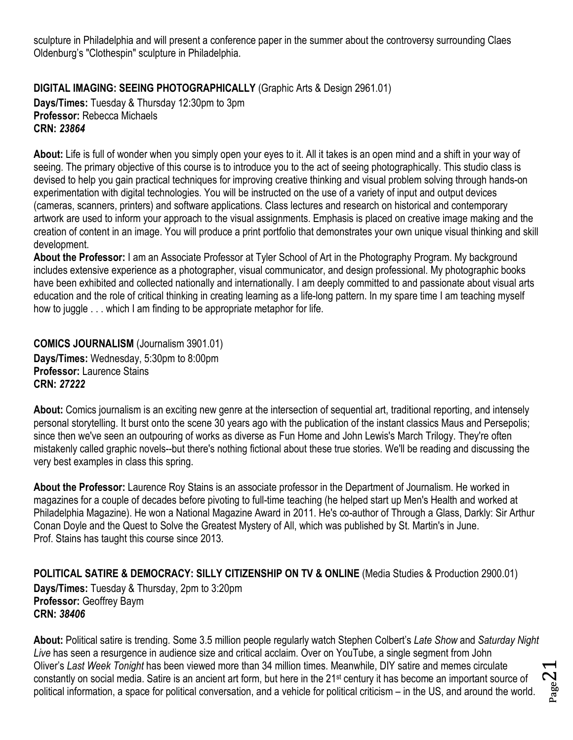sculpture in Philadelphia and will present a conference paper in the summer about the controversy surrounding Claes Oldenburg's "Clothespin" sculpture in Philadelphia.

<span id="page-20-0"></span>**DIGITAL IMAGING: SEEING PHOTOGRAPHICALLY** (Graphic Arts & Design 2961.01)

**Days/Times:** Tuesday & Thursday 12:30pm to 3pm **Professor:** Rebecca Michaels **CRN:** *23864*

**About:** Life is full of wonder when you simply open your eyes to it. All it takes is an open mind and a shift in your way of seeing. The primary objective of this course is to introduce you to the act of seeing photographically. This studio class is devised to help you gain practical techniques for improving creative thinking and visual problem solving through hands-on experimentation with digital technologies. You will be instructed on the use of a variety of input and output devices (cameras, scanners, printers) and software applications. Class lectures and research on historical and contemporary artwork are used to inform your approach to the visual assignments. Emphasis is placed on creative image making and the creation of content in an image. You will produce a print portfolio that demonstrates your own unique visual thinking and skill development.

**About the Professor:** I am an Associate Professor at Tyler School of Art in the Photography Program. My background includes extensive experience as a photographer, visual communicator, and design professional. My photographic books have been exhibited and collected nationally and internationally. I am deeply committed to and passionate about visual arts education and the role of critical thinking in creating learning as a life-long pattern. In my spare time I am teaching myself how to juggle . . . which I am finding to be appropriate metaphor for life.

<span id="page-20-1"></span>**COMICS JOURNALISM** (Journalism 3901.01) **Days/Times:** Wednesday, 5:30pm to 8:00pm **Professor:** Laurence Stains **CRN:** *27222*

**About:** Comics journalism is an exciting new genre at the intersection of sequential art, traditional reporting, and intensely personal storytelling. It burst onto the scene 30 years ago with the publication of the instant classics Maus and Persepolis; since then we've seen an outpouring of works as diverse as Fun Home and John Lewis's March Trilogy. They're often mistakenly called graphic novels--but there's nothing fictional about these true stories. We'll be reading and discussing the very best examples in class this spring.

**About the Professor:** Laurence Roy Stains is an associate professor in the Department of Journalism. He worked in magazines for a couple of decades before pivoting to full-time teaching (he helped start up Men's Health and worked at Philadelphia Magazine). He won a National Magazine Award in 2011. He's co-author of Through a Glass, Darkly: Sir Arthur Conan Doyle and the Quest to Solve the Greatest Mystery of All, which was published by St. Martin's in June. Prof. Stains has taught this course since 2013.

<span id="page-20-2"></span>**POLITICAL SATIRE & DEMOCRACY: SILLY CITIZENSHIP ON TV & ONLINE** (Media Studies & Production 2900.01) **Days/Times:** Tuesday & Thursday, 2pm to 3:20pm **Professor:** Geoffrey Baym **CRN:** *38406*

**About:** Political satire is trending. Some 3.5 million people regularly watch Stephen Colbert's *Late Show* and *Saturday Night Live* has seen a resurgence in audience size and critical acclaim. Over on YouTube, a single segment from John Oliver's *Last Week Tonight* has been viewed more than 34 million times. Meanwhile, DIY satire and memes circulate constantly on social media. Satire is an ancient art form, but here in the 21st century it has become an important source of political information, a space for political conversation, and a vehicle for political criticism – in the US, and around the world.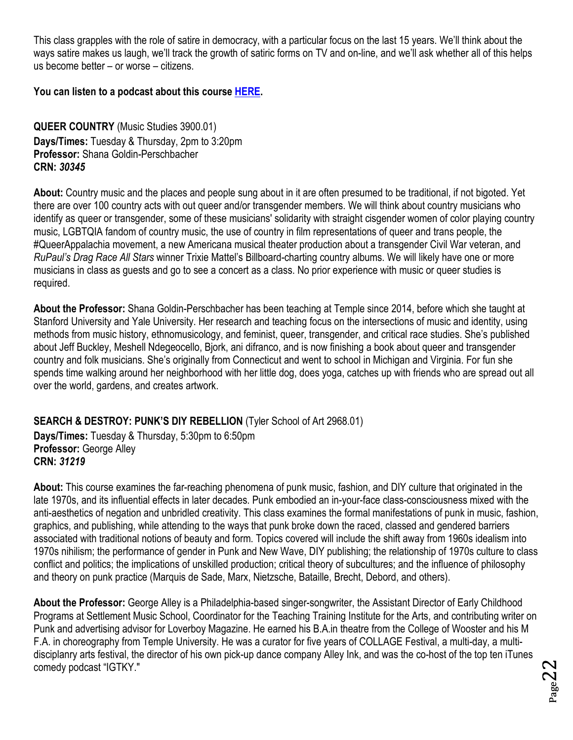This class grapples with the role of satire in democracy, with a particular focus on the last 15 years. We'll think about the ways satire makes us laugh, we'll track the growth of satiric forms on TV and on-line, and we'll ask whether all of this helps us become better – or worse – citizens.

**You can listen to a podcast about this course [HERE.](https://soundcloud.com/templehonors/political-satire-and-democracy)** 

<span id="page-21-0"></span>**QUEER COUNTRY** (Music Studies 3900.01) **Days/Times:** Tuesday & Thursday, 2pm to 3:20pm **Professor:** Shana Goldin-Perschbacher **CRN:** *30345*

**About:** Country music and the places and people sung about in it are often presumed to be traditional, if not bigoted. Yet there are over 100 country acts with out queer and/or transgender members. We will think about country musicians who identify as queer or transgender, some of these musicians' solidarity with straight cisgender women of color playing country music, LGBTQIA fandom of country music, the use of country in film representations of queer and trans people, the #QueerAppalachia movement, a new Americana musical theater production about a transgender Civil War veteran, and *RuPaul's Drag Race All Stars* winner Trixie Mattel's Billboard-charting country albums. We will likely have one or more musicians in class as guests and go to see a concert as a class. No prior experience with music or queer studies is required.

**About the Professor:** Shana Goldin-Perschbacher has been teaching at Temple since 2014, before which she taught at Stanford University and Yale University. Her research and teaching focus on the intersections of music and identity, using methods from music history, ethnomusicology, and feminist, queer, transgender, and critical race studies. She's published about Jeff Buckley, Meshell Ndegeocello, Bjork, ani difranco, and is now finishing a book about queer and transgender country and folk musicians. She's originally from Connecticut and went to school in Michigan and Virginia. For fun she spends time walking around her neighborhood with her little dog, does yoga, catches up with friends who are spread out all over the world, gardens, and creates artwork.

<span id="page-21-1"></span>**SEARCH & DESTROY: PUNK'S DIY REBELLION** (Tyler School of Art 2968.01)

**Days/Times:** Tuesday & Thursday, 5:30pm to 6:50pm **Professor:** George Alley **CRN:** *31219*

**About:** This course examines the far-reaching phenomena of punk music, fashion, and DIY culture that originated in the late 1970s, and its influential effects in later decades. Punk embodied an in-your-face class-consciousness mixed with the anti-aesthetics of negation and unbridled creativity. This class examines the formal manifestations of punk in music, fashion, graphics, and publishing, while attending to the ways that punk broke down the raced, classed and gendered barriers associated with traditional notions of beauty and form. Topics covered will include the shift away from 1960s idealism into 1970s nihilism; the performance of gender in Punk and New Wave, DIY publishing; the relationship of 1970s culture to class conflict and politics; the implications of unskilled production; critical theory of subcultures; and the influence of philosophy and theory on punk practice (Marquis de Sade, Marx, Nietzsche, Bataille, Brecht, Debord, and others).

**About the Professor:** George Alley is a Philadelphia-based singer-songwriter, the Assistant Director of Early Childhood Programs at Settlement Music School, Coordinator for the Teaching Training Institute for the Arts, and contributing writer on Punk and advertising advisor for Loverboy Magazine. He earned his B.A.in theatre from the College of Wooster and his M F.A. in choreography from Temple University. He was a curator for five years of COLLAGE Festival, a multi-day, a multidisciplanry arts festival, the director of his own pick-up dance company Alley Ink, and was the co-host of the top ten iTunes comedy podcast "IGTKY."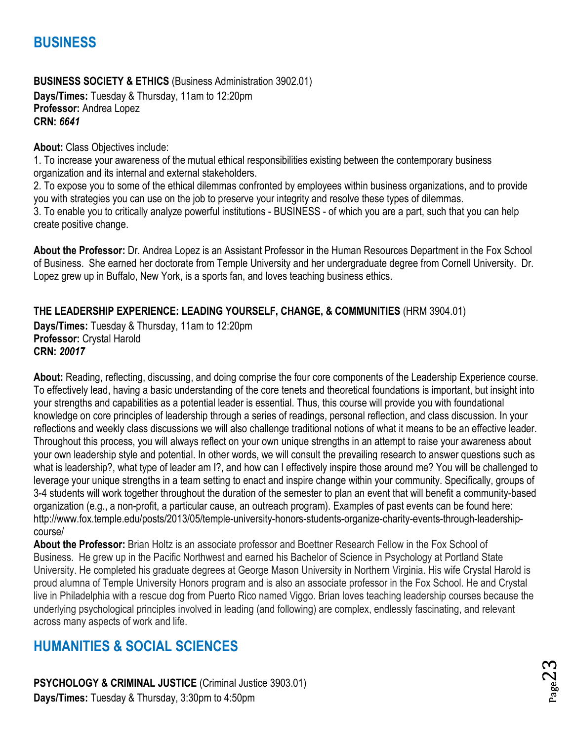## <span id="page-22-0"></span>**BUSINESS**

<span id="page-22-1"></span>**BUSINESS SOCIETY & ETHICS** (Business Administration 3902.01) **Days/Times:** Tuesday & Thursday, 11am to 12:20pm **Professor:** Andrea Lopez **CRN:** *6641*

**About:** Class Objectives include:

1. To increase your awareness of the mutual ethical responsibilities existing between the contemporary business organization and its internal and external stakeholders.

2. To expose you to some of the ethical dilemmas confronted by employees within business organizations, and to provide you with strategies you can use on the job to preserve your integrity and resolve these types of dilemmas. 3. To enable you to critically analyze powerful institutions - BUSINESS - of which you are a part, such that you can help create positive change.

**About the Professor:** Dr. Andrea Lopez is an Assistant Professor in the Human Resources Department in the Fox School of Business. She earned her doctorate from Temple University and her undergraduate degree from Cornell University. Dr. Lopez grew up in Buffalo, New York, is a sports fan, and loves teaching business ethics.

#### <span id="page-22-2"></span>**THE LEADERSHIP EXPERIENCE: LEADING YOURSELF, CHANGE, & COMMUNITIES** (HRM 3904.01)

**Days/Times:** Tuesday & Thursday, 11am to 12:20pm **Professor:** Crystal Harold **CRN:** *20017*

**About:** Reading, reflecting, discussing, and doing comprise the four core components of the Leadership Experience course. To effectively lead, having a basic understanding of the core tenets and theoretical foundations is important, but insight into your strengths and capabilities as a potential leader is essential. Thus, this course will provide you with foundational knowledge on core principles of leadership through a series of readings, personal reflection, and class discussion. In your reflections and weekly class discussions we will also challenge traditional notions of what it means to be an effective leader. Throughout this process, you will always reflect on your own unique strengths in an attempt to raise your awareness about your own leadership style and potential. In other words, we will consult the prevailing research to answer questions such as what is leadership?, what type of leader am I?, and how can I effectively inspire those around me? You will be challenged to leverage your unique strengths in a team setting to enact and inspire change within your community. Specifically, groups of 3-4 students will work together throughout the duration of the semester to plan an event that will benefit a community-based organization (e.g., a non-profit, a particular cause, an outreach program). Examples of past events can be found here: http://www.fox.temple.edu/posts/2013/05/temple-university-honors-students-organize-charity-events-through-leadershipcourse/

**About the Professor:** Brian Holtz is an associate professor and Boettner Research Fellow in the Fox School of Business. He grew up in the Pacific Northwest and earned his Bachelor of Science in Psychology at Portland State University. He completed his graduate degrees at George Mason University in Northern Virginia. His wife Crystal Harold is proud alumna of Temple University Honors program and is also an associate professor in the Fox School. He and Crystal live in Philadelphia with a rescue dog from Puerto Rico named Viggo. Brian loves teaching leadership courses because the underlying psychological principles involved in leading (and following) are complex, endlessly fascinating, and relevant across many aspects of work and life.

## <span id="page-22-3"></span>**HUMANITIES & SOCIAL SCIENCES**

<span id="page-22-4"></span>**PSYCHOLOGY & CRIMINAL JUSTICE** (Criminal Justice 3903.01) **Days/Times:** Tuesday & Thursday, 3:30pm to 4:50pm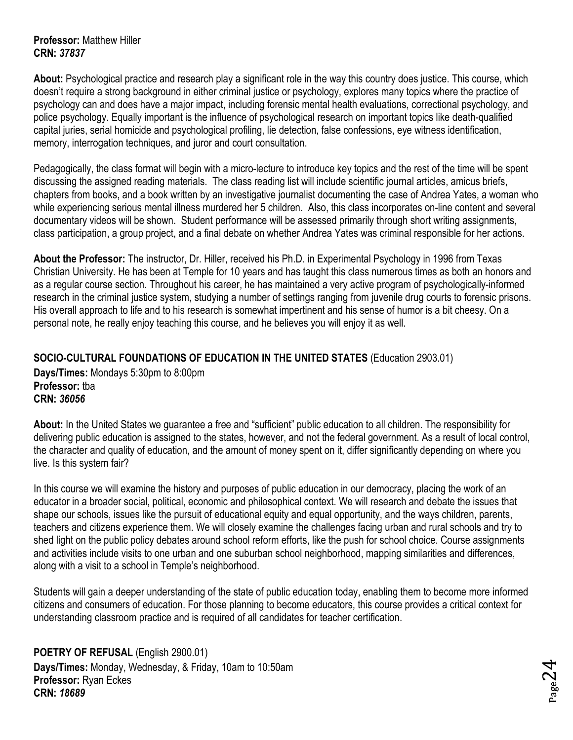#### **Professor:** Matthew Hiller **CRN:** *37837*

**About:** Psychological practice and research play a significant role in the way this country does justice. This course, which doesn't require a strong background in either criminal justice or psychology, explores many topics where the practice of psychology can and does have a major impact, including forensic mental health evaluations, correctional psychology, and police psychology. Equally important is the influence of psychological research on important topics like death-qualified capital juries, serial homicide and psychological profiling, lie detection, false confessions, eye witness identification, memory, interrogation techniques, and juror and court consultation.

Pedagogically, the class format will begin with a micro-lecture to introduce key topics and the rest of the time will be spent discussing the assigned reading materials. The class reading list will include scientific journal articles, amicus briefs, chapters from books, and a book written by an investigative journalist documenting the case of Andrea Yates, a woman who while experiencing serious mental illness murdered her 5 children. Also, this class incorporates on-line content and several documentary videos will be shown. Student performance will be assessed primarily through short writing assignments, class participation, a group project, and a final debate on whether Andrea Yates was criminal responsible for her actions.

**About the Professor:** The instructor, Dr. Hiller, received his Ph.D. in Experimental Psychology in 1996 from Texas Christian University. He has been at Temple for 10 years and has taught this class numerous times as both an honors and as a regular course section. Throughout his career, he has maintained a very active program of psychologically-informed research in the criminal justice system, studying a number of settings ranging from juvenile drug courts to forensic prisons. His overall approach to life and to his research is somewhat impertinent and his sense of humor is a bit cheesy. On a personal note, he really enjoy teaching this course, and he believes you will enjoy it as well.

#### <span id="page-23-0"></span>**SOCIO-CULTURAL FOUNDATIONS OF EDUCATION IN THE UNITED STATES** (Education 2903.01) **Days/Times:** Mondays 5:30pm to 8:00pm **Professor:** tba

**CRN:** *36056*

**About:** In the United States we guarantee a free and "sufficient" public education to all children. The responsibility for delivering public education is assigned to the states, however, and not the federal government. As a result of local control, the character and quality of education, and the amount of money spent on it, differ significantly depending on where you live. Is this system fair?

In this course we will examine the history and purposes of public education in our democracy, placing the work of an educator in a broader social, political, economic and philosophical context. We will research and debate the issues that shape our schools, issues like the pursuit of educational equity and equal opportunity, and the ways children, parents, teachers and citizens experience them. We will closely examine the challenges facing urban and rural schools and try to shed light on the public policy debates around school reform efforts, like the push for school choice. Course assignments and activities include visits to one urban and one suburban school neighborhood, mapping similarities and differences, along with a visit to a school in Temple's neighborhood.

Students will gain a deeper understanding of the state of public education today, enabling them to become more informed citizens and consumers of education. For those planning to become educators, this course provides a critical context for understanding classroom practice and is required of all candidates for teacher certification.

<span id="page-23-1"></span>**POETRY OF REFUSAL** (English 2900.01) **Days/Times:** Monday, Wednesday, & Friday, 10am to 10:50am **Professor:** Ryan Eckes **CRN:** *18689*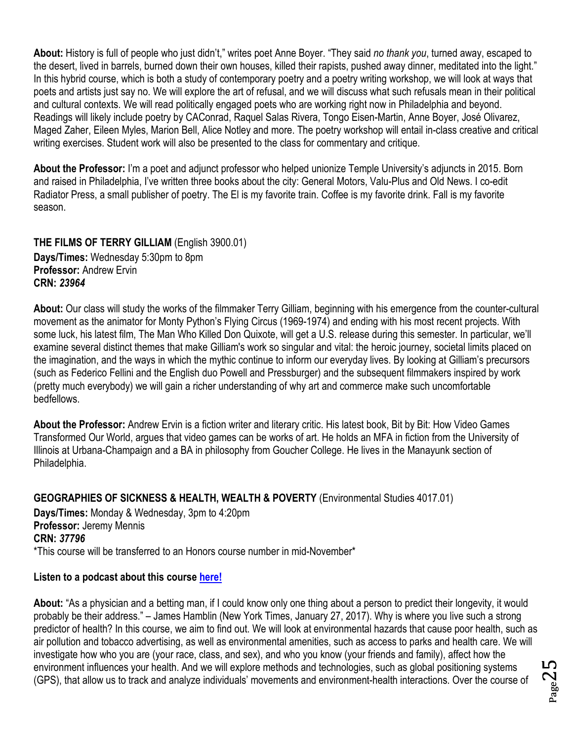**About:** History is full of people who just didn't," writes poet Anne Boyer. "They said *no thank you*, turned away, escaped to the desert, lived in barrels, burned down their own houses, killed their rapists, pushed away dinner, meditated into the light." In this hybrid course, which is both a study of contemporary poetry and a poetry writing workshop, we will look at ways that poets and artists just say no. We will explore the art of refusal, and we will discuss what such refusals mean in their political and cultural contexts. We will read politically engaged poets who are working right now in Philadelphia and beyond. Readings will likely include poetry by CAConrad, Raquel Salas Rivera, Tongo Eisen-Martin, Anne Boyer, José Olivarez, Maged Zaher, Eileen Myles, Marion Bell, Alice Notley and more. The poetry workshop will entail in-class creative and critical writing exercises. Student work will also be presented to the class for commentary and critique.

**About the Professor:** I'm a poet and adjunct professor who helped unionize Temple University's adjuncts in 2015. Born and raised in Philadelphia, I've written three books about the city: General Motors, Valu-Plus and Old News. I co-edit Radiator Press, a small publisher of poetry. The El is my favorite train. Coffee is my favorite drink. Fall is my favorite season.

<span id="page-24-0"></span>**THE FILMS OF TERRY GILLIAM** (English 3900.01) **Days/Times:** Wednesday 5:30pm to 8pm **Professor:** Andrew Ervin **CRN:** *23964*

**About:** Our class will study the works of the filmmaker Terry Gilliam, beginning with his emergence from the counter-cultural movement as the animator for Monty Python's Flying Circus (1969-1974) and ending with his most recent projects. With some luck, his latest film, The Man Who Killed Don Quixote, will get a U.S. release during this semester. In particular, we'll examine several distinct themes that make Gilliam's work so singular and vital: the heroic journey, societal limits placed on the imagination, and the ways in which the mythic continue to inform our everyday lives. By looking at Gilliam's precursors (such as Federico Fellini and the English duo Powell and Pressburger) and the subsequent filmmakers inspired by work (pretty much everybody) we will gain a richer understanding of why art and commerce make such uncomfortable bedfellows.

**About the Professor:** Andrew Ervin is a fiction writer and literary critic. His latest book, Bit by Bit: How Video Games Transformed Our World, argues that video games can be works of art. He holds an MFA in fiction from the University of Illinois at Urbana-Champaign and a BA in philosophy from Goucher College. He lives in the Manayunk section of Philadelphia.

<span id="page-24-1"></span>**GEOGRAPHIES OF SICKNESS & HEALTH, WEALTH & POVERTY** (Environmental Studies 4017.01) **Days/Times:** Monday & Wednesday, 3pm to 4:20pm **Professor:** Jeremy Mennis **CRN:** *37796* \*This course will be transferred to an Honors course number in mid-November\*

#### **Listen to a podcast about this course [here!](https://soundcloud.com/templehonors/of-course-14-geography-of-health-and-disease)**

**About:** "As a physician and a betting man, if I could know only one thing about a person to predict their longevity, it would probably be their address." – James Hamblin (New York Times, January 27, 2017). Why is where you live such a strong predictor of health? In this course, we aim to find out. We will look at environmental hazards that cause poor health, such as air pollution and tobacco advertising, as well as environmental amenities, such as access to parks and health care. We will investigate how who you are (your race, class, and sex), and who you know (your friends and family), affect how the environment influences your health. And we will explore methods and technologies, such as global positioning systems (GPS), that allow us to track and analyze individuals' movements and environment-health interactions. Over the course of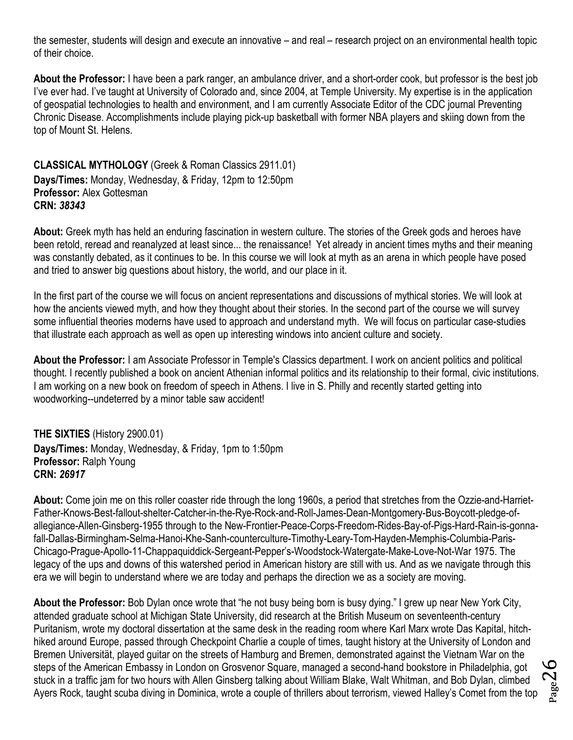the semester, students will design and execute an innovative – and real – research project on an environmental health topic of their choice.

**About the Professor:** I have been a park ranger, an ambulance driver, and a short-order cook, but professor is the best job I've ever had. I've taught at University of Colorado and, since 2004, at Temple University. My expertise is in the application of geospatial technologies to health and environment, and I am currently Associate Editor of the CDC journal Preventing Chronic Disease. Accomplishments include playing pick-up basketball with former NBA players and skiing down from the top of Mount St. Helens.

<span id="page-25-0"></span>**CLASSICAL MYTHOLOGY** (Greek & Roman Classics 2911.01) **Days/Times:** Monday, Wednesday, & Friday, 12pm to 12:50pm **Professor:** Alex Gottesman **CRN:** *38343*

**About:** Greek myth has held an enduring fascination in western culture. The stories of the Greek gods and heroes have been retold, reread and reanalyzed at least since... the renaissance! Yet already in ancient times myths and their meaning was constantly debated, as it continues to be. In this course we will look at myth as an arena in which people have posed and tried to answer big questions about history, the world, and our place in it.

In the first part of the course we will focus on ancient representations and discussions of mythical stories. We will look at how the ancients viewed myth, and how they thought about their stories. In the second part of the course we will survey some influential theories moderns have used to approach and understand myth. We will focus on particular case-studies that illustrate each approach as well as open up interesting windows into ancient culture and society.

**About the Professor:** I am Associate Professor in Temple's Classics department. I work on ancient politics and political thought. I recently published a book on ancient Athenian informal politics and its relationship to their formal, civic institutions. I am working on a new book on freedom of speech in Athens. I live in S. Philly and recently started getting into woodworking--undeterred by a minor table saw accident!

<span id="page-25-1"></span>**THE SIXTIES** (History 2900.01) **Days/Times:** Monday, Wednesday, & Friday, 1pm to 1:50pm **Professor:** Ralph Young **CRN:** *26917*

**About:** Come join me on this roller coaster ride through the long 1960s, a period that stretches from the Ozzie-and-Harriet-Father-Knows-Best-fallout-shelter-Catcher-in-the-Rye-Rock-and-Roll-James-Dean-Montgomery-Bus-Boycott-pledge-ofallegiance-Allen-Ginsberg-1955 through to the New-Frontier-Peace-Corps-Freedom-Rides-Bay-of-Pigs-Hard-Rain-is-gonnafall-Dallas-Birmingham-Selma-Hanoi-Khe-Sanh-counterculture-Timothy-Leary-Tom-Hayden-Memphis-Columbia-Paris-Chicago-Prague-Apollo-11-Chappaquiddick-Sergeant-Pepper's-Woodstock-Watergate-Make-Love-Not-War 1975. The legacy of the ups and downs of this watershed period in American history are still with us. And as we navigate through this era we will begin to understand where we are today and perhaps the direction we as a society are moving.

**About the Professor:** Bob Dylan once wrote that "he not busy being born is busy dying." I grew up near New York City, attended graduate school at Michigan State University, did research at the British Museum on seventeenth-century Puritanism, wrote my doctoral dissertation at the same desk in the reading room where Karl Marx wrote Das Kapital, hitchhiked around Europe, passed through Checkpoint Charlie a couple of times, taught history at the University of London and Bremen Universität, played guitar on the streets of Hamburg and Bremen, demonstrated against the Vietnam War on the steps of the American Embassy in London on Grosvenor Square, managed a second-hand bookstore in Philadelphia, got stuck in a traffic jam for two hours with Allen Ginsberg talking about William Blake, Walt Whitman, and Bob Dylan, climbed Ayers Rock, taught scuba diving in Dominica, wrote a couple of thrillers about terrorism, viewed Halley's Comet from the top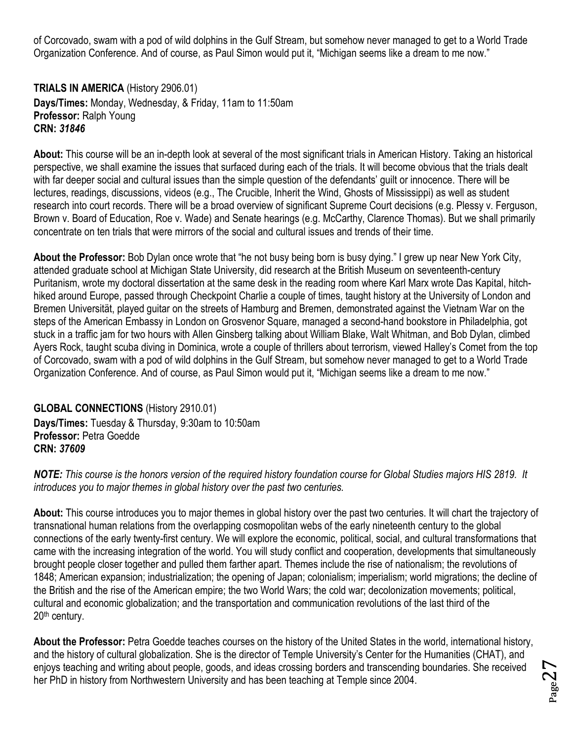of Corcovado, swam with a pod of wild dolphins in the Gulf Stream, but somehow never managed to get to a World Trade Organization Conference. And of course, as Paul Simon would put it, "Michigan seems like a dream to me now."

<span id="page-26-0"></span>**TRIALS IN AMERICA** (History 2906.01) **Days/Times:** Monday, Wednesday, & Friday, 11am to 11:50am **Professor:** Ralph Young **CRN:** *31846*

**About:** This course will be an in-depth look at several of the most significant trials in American History. Taking an historical perspective, we shall examine the issues that surfaced during each of the trials. It will become obvious that the trials dealt with far deeper social and cultural issues than the simple question of the defendants' guilt or innocence. There will be lectures, readings, discussions, videos (e.g., The Crucible, Inherit the Wind, Ghosts of Mississippi) as well as student research into court records. There will be a broad overview of significant Supreme Court decisions (e.g. Plessy v. Ferguson, Brown v. Board of Education, Roe v. Wade) and Senate hearings (e.g. McCarthy, Clarence Thomas). But we shall primarily concentrate on ten trials that were mirrors of the social and cultural issues and trends of their time.

**About the Professor:** Bob Dylan once wrote that "he not busy being born is busy dying." I grew up near New York City, attended graduate school at Michigan State University, did research at the British Museum on seventeenth-century Puritanism, wrote my doctoral dissertation at the same desk in the reading room where Karl Marx wrote Das Kapital, hitchhiked around Europe, passed through Checkpoint Charlie a couple of times, taught history at the University of London and Bremen Universität, played guitar on the streets of Hamburg and Bremen, demonstrated against the Vietnam War on the steps of the American Embassy in London on Grosvenor Square, managed a second-hand bookstore in Philadelphia, got stuck in a traffic jam for two hours with Allen Ginsberg talking about William Blake, Walt Whitman, and Bob Dylan, climbed Ayers Rock, taught scuba diving in Dominica, wrote a couple of thrillers about terrorism, viewed Halley's Comet from the top of Corcovado, swam with a pod of wild dolphins in the Gulf Stream, but somehow never managed to get to a World Trade Organization Conference. And of course, as Paul Simon would put it, "Michigan seems like a dream to me now."

<span id="page-26-1"></span>**GLOBAL CONNECTIONS** (History 2910.01) **Days/Times:** Tuesday & Thursday, 9:30am to 10:50am **Professor:** Petra Goedde **CRN:** *37609*

*NOTE: This course is the honors version of the required history foundation course for Global Studies majors HIS 2819. It introduces you to major themes in global history over the past two centuries.*

**About:** This course introduces you to major themes in global history over the past two centuries. It will chart the trajectory of transnational human relations from the overlapping cosmopolitan webs of the early nineteenth century to the global connections of the early twenty-first century. We will explore the economic, political, social, and cultural transformations that came with the increasing integration of the world. You will study conflict and cooperation, developments that simultaneously brought people closer together and pulled them farther apart. Themes include the rise of nationalism; the revolutions of 1848; American expansion; industrialization; the opening of Japan; colonialism; imperialism; world migrations; the decline of the British and the rise of the American empire; the two World Wars; the cold war; decolonization movements; political, cultural and economic globalization; and the transportation and communication revolutions of the last third of the 20th century.

**About the Professor:** Petra Goedde teaches courses on the history of the United States in the world, international history, and the history of cultural globalization. She is the director of Temple University's Center for the Humanities (CHAT), and enjoys teaching and writing about people, goods, and ideas crossing borders and transcending boundaries. She received her PhD in history from Northwestern University and has been teaching at Temple since 2004.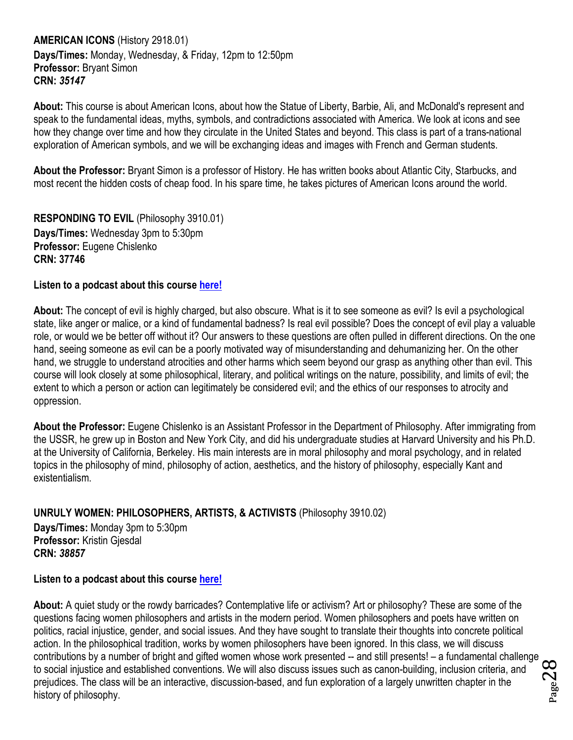<span id="page-27-0"></span>**AMERICAN ICONS** (History 2918.01) **Days/Times:** Monday, Wednesday, & Friday, 12pm to 12:50pm **Professor:** Bryant Simon **CRN:** *35147*

**About:** This course is about American Icons, about how the Statue of Liberty, Barbie, Ali, and McDonald's represent and speak to the fundamental ideas, myths, symbols, and contradictions associated with America. We look at icons and see how they change over time and how they circulate in the United States and beyond. This class is part of a trans-national exploration of American symbols, and we will be exchanging ideas and images with French and German students.

**About the Professor:** Bryant Simon is a professor of History. He has written books about Atlantic City, Starbucks, and most recent the hidden costs of cheap food. In his spare time, he takes pictures of American Icons around the world.

<span id="page-27-1"></span>**RESPONDING TO EVIL** (Philosophy 3910.01) **Days/Times:** Wednesday 3pm to 5:30pm **Professor:** Eugene Chislenko **CRN: 37746**

#### **Listen to a podcast about this course [here!](https://soundcloud.com/templehonors/of-course-12-unruly-women-responding-to-evil)**

**About:** The concept of evil is highly charged, but also obscure. What is it to see someone as evil? Is evil a psychological state, like anger or malice, or a kind of fundamental badness? Is real evil possible? Does the concept of evil play a valuable role, or would we be better off without it? Our answers to these questions are often pulled in different directions. On the one hand, seeing someone as evil can be a poorly motivated way of misunderstanding and dehumanizing her. On the other hand, we struggle to understand atrocities and other harms which seem beyond our grasp as anything other than evil. This course will look closely at some philosophical, literary, and political writings on the nature, possibility, and limits of evil; the extent to which a person or action can legitimately be considered evil; and the ethics of our responses to atrocity and oppression.

**About the Professor:** Eugene Chislenko is an Assistant Professor in the Department of Philosophy. After immigrating from the USSR, he grew up in Boston and New York City, and did his undergraduate studies at Harvard University and his Ph.D. at the University of California, Berkeley. His main interests are in moral philosophy and moral psychology, and in related topics in the philosophy of mind, philosophy of action, aesthetics, and the history of philosophy, especially Kant and existentialism.

<span id="page-27-2"></span>**UNRULY WOMEN: PHILOSOPHERS, ARTISTS, & ACTIVISTS** (Philosophy 3910.02)

**Days/Times:** Monday 3pm to 5:30pm **Professor:** Kristin Gjesdal **CRN:** *38857*

#### **Listen to a podcast about this course [here!](https://soundcloud.com/templehonors/of-course-12-unruly-women-responding-to-evil)**

Page28 **About:** A quiet study or the rowdy barricades? Contemplative life or activism? Art or philosophy? These are some of the questions facing women philosophers and artists in the modern period. Women philosophers and poets have written on politics, racial injustice, gender, and social issues. And they have sought to translate their thoughts into concrete political action. In the philosophical tradition, works by women philosophers have been ignored. In this class, we will discuss contributions by a number of bright and gifted women whose work presented -- and still presents! – a fundamental challenge to social injustice and established conventions. We will also discuss issues such as canon-building, inclusion criteria, and prejudices. The class will be an interactive, discussion-based, and fun exploration of a largely unwritten chapter in the history of philosophy.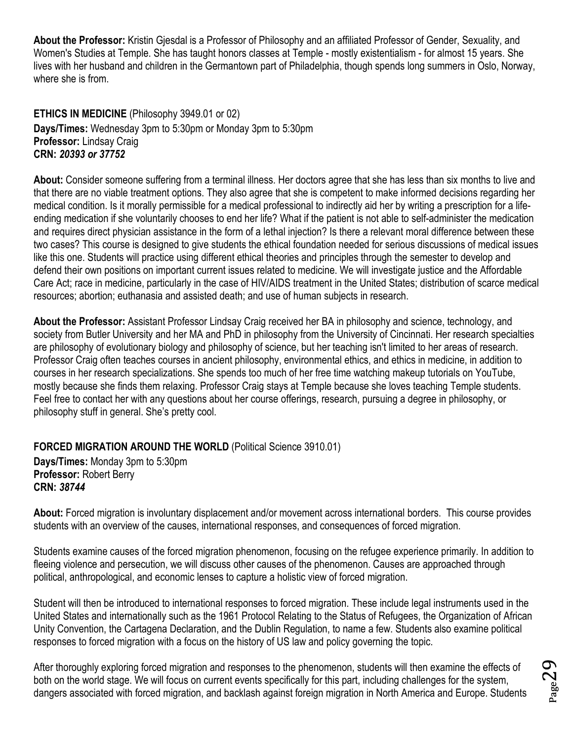**About the Professor:** Kristin Gjesdal is a Professor of Philosophy and an affiliated Professor of Gender, Sexuality, and Women's Studies at Temple. She has taught honors classes at Temple - mostly existentialism - for almost 15 years. She lives with her husband and children in the Germantown part of Philadelphia, though spends long summers in Oslo, Norway, where she is from.

<span id="page-28-0"></span>**ETHICS IN MEDICINE** (Philosophy 3949.01 or 02) **Days/Times:** Wednesday 3pm to 5:30pm or Monday 3pm to 5:30pm **Professor:** Lindsay Craig **CRN:** *20393 or 37752*

**About:** Consider someone suffering from a terminal illness. Her doctors agree that she has less than six months to live and that there are no viable treatment options. They also agree that she is competent to make informed decisions regarding her medical condition. Is it morally permissible for a medical professional to indirectly aid her by writing a prescription for a lifeending medication if she voluntarily chooses to end her life? What if the patient is not able to self-administer the medication and requires direct physician assistance in the form of a lethal injection? Is there a relevant moral difference between these two cases? This course is designed to give students the ethical foundation needed for serious discussions of medical issues like this one. Students will practice using different ethical theories and principles through the semester to develop and defend their own positions on important current issues related to medicine. We will investigate justice and the Affordable Care Act; race in medicine, particularly in the case of HIV/AIDS treatment in the United States; distribution of scarce medical resources; abortion; euthanasia and assisted death; and use of human subjects in research.

**About the Professor:** Assistant Professor Lindsay Craig received her BA in philosophy and science, technology, and society from Butler University and her MA and PhD in philosophy from the University of Cincinnati. Her research specialties are philosophy of evolutionary biology and philosophy of science, but her teaching isn't limited to her areas of research. Professor Craig often teaches courses in ancient philosophy, environmental ethics, and ethics in medicine, in addition to courses in her research specializations. She spends too much of her free time watching makeup tutorials on YouTube, mostly because she finds them relaxing. Professor Craig stays at Temple because she loves teaching Temple students. Feel free to contact her with any questions about her course offerings, research, pursuing a degree in philosophy, or philosophy stuff in general. She's pretty cool.

#### <span id="page-28-1"></span>**FORCED MIGRATION AROUND THE WORLD** (Political Science 3910.01)

**Days/Times:** Monday 3pm to 5:30pm **Professor:** Robert Berry **CRN:** *38744*

**About:** Forced migration is involuntary displacement and/or movement across international borders. This course provides students with an overview of the causes, international responses, and consequences of forced migration.

Students examine causes of the forced migration phenomenon, focusing on the refugee experience primarily. In addition to fleeing violence and persecution, we will discuss other causes of the phenomenon. Causes are approached through political, anthropological, and economic lenses to capture a holistic view of forced migration.

Student will then be introduced to international responses to forced migration. These include legal instruments used in the United States and internationally such as the 1961 Protocol Relating to the Status of Refugees, the Organization of African Unity Convention, the Cartagena Declaration, and the Dublin Regulation, to name a few. Students also examine political responses to forced migration with a focus on the history of US law and policy governing the topic.

After thoroughly exploring forced migration and responses to the phenomenon, students will then examine the effects of both on the world stage. We will focus on current events specifically for this part, including challenges for the system, dangers associated with forced migration, and backlash against foreign migration in North America and Europe. Students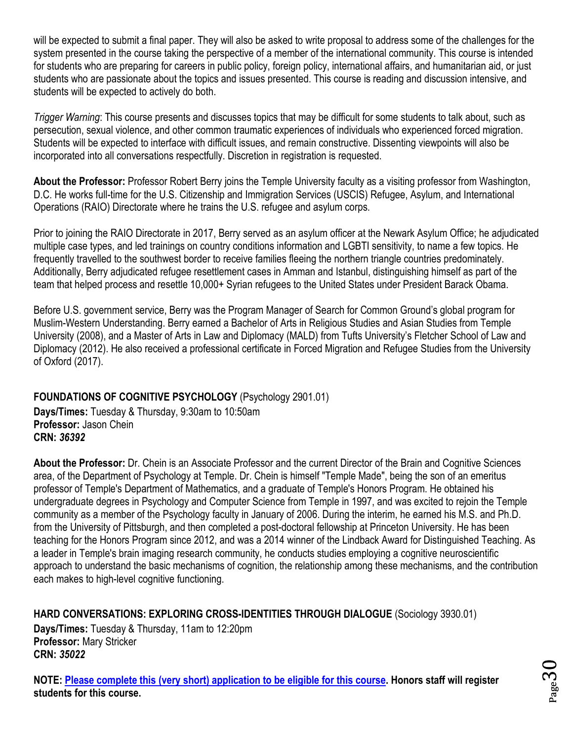will be expected to submit a final paper. They will also be asked to write proposal to address some of the challenges for the system presented in the course taking the perspective of a member of the international community. This course is intended for students who are preparing for careers in public policy, foreign policy, international affairs, and humanitarian aid, or just students who are passionate about the topics and issues presented. This course is reading and discussion intensive, and students will be expected to actively do both.

*Trigger Warning*: This course presents and discusses topics that may be difficult for some students to talk about, such as persecution, sexual violence, and other common traumatic experiences of individuals who experienced forced migration. Students will be expected to interface with difficult issues, and remain constructive. Dissenting viewpoints will also be incorporated into all conversations respectfully. Discretion in registration is requested.

**About the Professor:** Professor Robert Berry joins the Temple University faculty as a visiting professor from Washington, D.C. He works full-time for the U.S. Citizenship and Immigration Services (USCIS) Refugee, Asylum, and International Operations (RAIO) Directorate where he trains the U.S. refugee and asylum corps.

Prior to joining the RAIO Directorate in 2017, Berry served as an asylum officer at the Newark Asylum Office; he adjudicated multiple case types, and led trainings on country conditions information and LGBTI sensitivity, to name a few topics. He frequently travelled to the southwest border to receive families fleeing the northern triangle countries predominately. Additionally, Berry adjudicated refugee resettlement cases in Amman and Istanbul, distinguishing himself as part of the team that helped process and resettle 10,000+ Syrian refugees to the United States under President Barack Obama.

Before U.S. government service, Berry was the Program Manager of Search for Common Ground's global program for Muslim-Western Understanding. Berry earned a Bachelor of Arts in Religious Studies and Asian Studies from Temple University (2008), and a Master of Arts in Law and Diplomacy (MALD) from Tufts University's Fletcher School of Law and Diplomacy (2012). He also received a professional certificate in Forced Migration and Refugee Studies from the University of Oxford (2017).

#### <span id="page-29-0"></span>**FOUNDATIONS OF COGNITIVE PSYCHOLOGY** (Psychology 2901.01)

**Days/Times:** Tuesday & Thursday, 9:30am to 10:50am **Professor:** Jason Chein **CRN:** *36392*

**About the Professor:** Dr. Chein is an Associate Professor and the current Director of the Brain and Cognitive Sciences area, of the Department of Psychology at Temple. Dr. Chein is himself "Temple Made", being the son of an emeritus professor of Temple's Department of Mathematics, and a graduate of Temple's Honors Program. He obtained his undergraduate degrees in Psychology and Computer Science from Temple in 1997, and was excited to rejoin the Temple community as a member of the Psychology faculty in January of 2006. During the interim, he earned his M.S. and Ph.D. from the University of Pittsburgh, and then completed a post-doctoral fellowship at Princeton University. He has been teaching for the Honors Program since 2012, and was a 2014 winner of the Lindback Award for Distinguished Teaching. As a leader in Temple's brain imaging research community, he conducts studies employing a cognitive neuroscientific approach to understand the basic mechanisms of cognition, the relationship among these mechanisms, and the contribution each makes to high-level cognitive functioning.

<span id="page-29-1"></span>**HARD CONVERSATIONS: EXPLORING CROSS-IDENTITIES THROUGH DIALOGUE** (Sociology 3930.01) **Days/Times:** Tuesday & Thursday, 11am to 12:20pm **Professor:** Mary Stricker **CRN:** *35022*

**NOTE: [Please complete this \(very short\) application to be eligible for this course.](https://docs.google.com/forms/d/e/1FAIpQLSfFsdmzFMTjFgsangvfHyPtkSWBScK12-pDYJ4iD6jlO8oCyg/viewform?usp=sf_link) Honors staff will register students for this course.**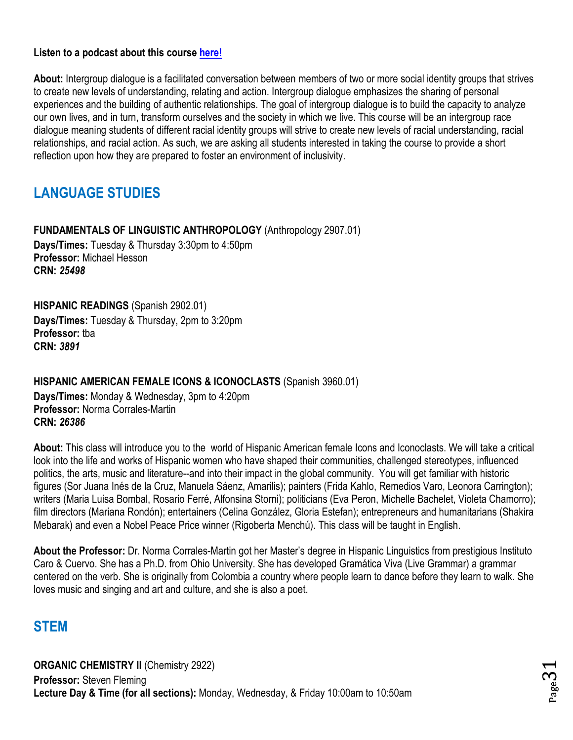#### **Listen to a podcast about this course [here!](https://soundcloud.com/templehonors/of-course-13-hard-conversations)**

**About:** Intergroup dialogue is a facilitated conversation between members of two or more social identity groups that strives to create new levels of understanding, relating and action. Intergroup dialogue emphasizes the sharing of personal experiences and the building of authentic relationships. The goal of intergroup dialogue is to build the capacity to analyze our own lives, and in turn, transform ourselves and the society in which we live. This course will be an intergroup race dialogue meaning students of different racial identity groups will strive to create new levels of racial understanding, racial relationships, and racial action. As such, we are asking all students interested in taking the course to provide a short reflection upon how they are prepared to foster an environment of inclusivity.

## <span id="page-30-0"></span>**LANGUAGE STUDIES**

<span id="page-30-1"></span>**FUNDAMENTALS OF LINGUISTIC ANTHROPOLOGY** (Anthropology 2907.01) **Days/Times:** Tuesday & Thursday 3:30pm to 4:50pm **Professor:** Michael Hesson **CRN:** *25498*

<span id="page-30-2"></span>**HISPANIC READINGS** (Spanish 2902.01) **Days/Times:** Tuesday & Thursday, 2pm to 3:20pm **Professor:** tba **CRN:** *3891*

<span id="page-30-3"></span>**HISPANIC AMERICAN FEMALE ICONS & ICONOCLASTS** (Spanish 3960.01) **Days/Times:** Monday & Wednesday, 3pm to 4:20pm

**Professor:** Norma Corrales-Martin **CRN:** *26386*

**About:** This class will introduce you to the world of Hispanic American female Icons and Iconoclasts. We will take a critical look into the life and works of Hispanic women who have shaped their communities, challenged stereotypes, influenced politics, the arts, music and literature--and into their impact in the global community. You will get familiar with historic figures (Sor Juana Inés de la Cruz, Manuela Sáenz, Amarilis); painters (Frida Kahlo, Remedios Varo, Leonora Carrington); writers (Maria Luisa Bombal, Rosario Ferré, Alfonsina Storni); politicians (Eva Peron, Michelle Bachelet, Violeta Chamorro); film directors (Mariana Rondón); entertainers (Celina González, Gloria Estefan); entrepreneurs and humanitarians (Shakira Mebarak) and even a Nobel Peace Price winner (Rigoberta Menchú). This class will be taught in English.

**About the Professor:** Dr. Norma Corrales-Martin got her Master's degree in Hispanic Linguistics from prestigious Instituto Caro & Cuervo. She has a Ph.D. from Ohio University. She has developed Gramática Viva (Live Grammar) a grammar centered on the verb. She is originally from Colombia a country where people learn to dance before they learn to walk. She loves music and singing and art and culture, and she is also a poet.

## <span id="page-30-4"></span>**STEM**

<span id="page-30-5"></span>**ORGANIC CHEMISTRY II (Chemistry 2922) Professor:** Steven Fleming **Lecture Day & Time (for all sections):** Monday, Wednesday, & Friday 10:00am to 10:50am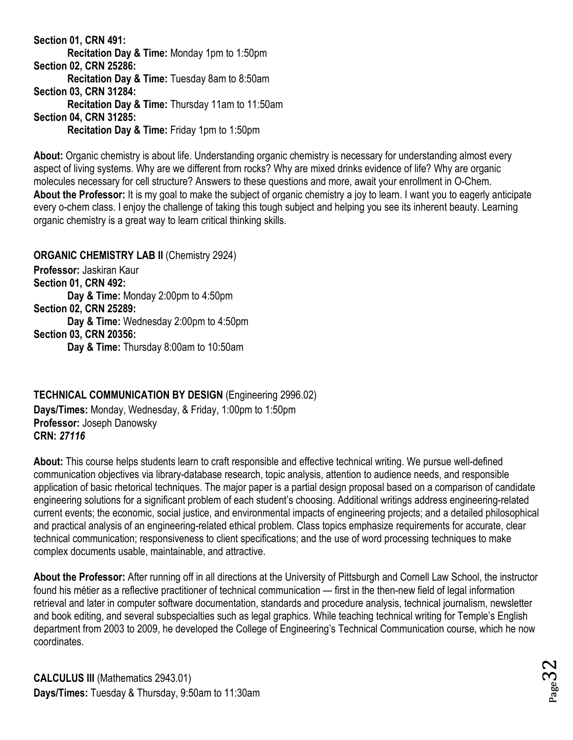**Section 01, CRN 491: Recitation Day & Time:** Monday 1pm to 1:50pm **Section 02, CRN 25286: Recitation Day & Time:** Tuesday 8am to 8:50am **Section 03, CRN 31284: Recitation Day & Time:** Thursday 11am to 11:50am **Section 04, CRN 31285: Recitation Day & Time:** Friday 1pm to 1:50pm

**About:** Organic chemistry is about life. Understanding organic chemistry is necessary for understanding almost every aspect of living systems. Why are we different from rocks? Why are mixed drinks evidence of life? Why are organic molecules necessary for cell structure? Answers to these questions and more, await your enrollment in O-Chem. **About the Professor:** It is my goal to make the subject of organic chemistry a joy to learn. I want you to eagerly anticipate every o-chem class. I enjoy the challenge of taking this tough subject and helping you see its inherent beauty. Learning organic chemistry is a great way to learn critical thinking skills.

<span id="page-31-0"></span>**ORGANIC CHEMISTRY LAB II (Chemistry 2924) Professor:** Jaskiran Kaur **Section 01, CRN 492: Day & Time:** Monday 2:00pm to 4:50pm **Section 02, CRN 25289: Day & Time:** Wednesday 2:00pm to 4:50pm **Section 03, CRN 20356: Day & Time:** Thursday 8:00am to 10:50am

<span id="page-31-1"></span>**TECHNICAL COMMUNICATION BY DESIGN** (Engineering 2996.02)

**Days/Times:** Monday, Wednesday, & Friday, 1:00pm to 1:50pm **Professor:** Joseph Danowsky **CRN:** *27116*

**About:** This course helps students learn to craft responsible and effective technical writing. We pursue well-defined communication objectives via library-database research, topic analysis, attention to audience needs, and responsible application of basic rhetorical techniques. The major paper is a partial design proposal based on a comparison of candidate engineering solutions for a significant problem of each student's choosing. Additional writings address engineering-related current events; the economic, social justice, and environmental impacts of engineering projects; and a detailed philosophical and practical analysis of an engineering-related ethical problem. Class topics emphasize requirements for accurate, clear technical communication; responsiveness to client specifications; and the use of word processing techniques to make complex documents usable, maintainable, and attractive.

<span id="page-31-2"></span>**About the Professor:** After running off in all directions at the University of Pittsburgh and Cornell Law School, the instructor found his métier as a reflective practitioner of technical communication — first in the then-new field of legal information retrieval and later in computer software documentation, standards and procedure analysis, technical journalism, newsletter and book editing, and several subspecialties such as legal graphics. While teaching technical writing for Temple's English department from 2003 to 2009, he developed the College of Engineering's Technical Communication course, which he now coordinates.